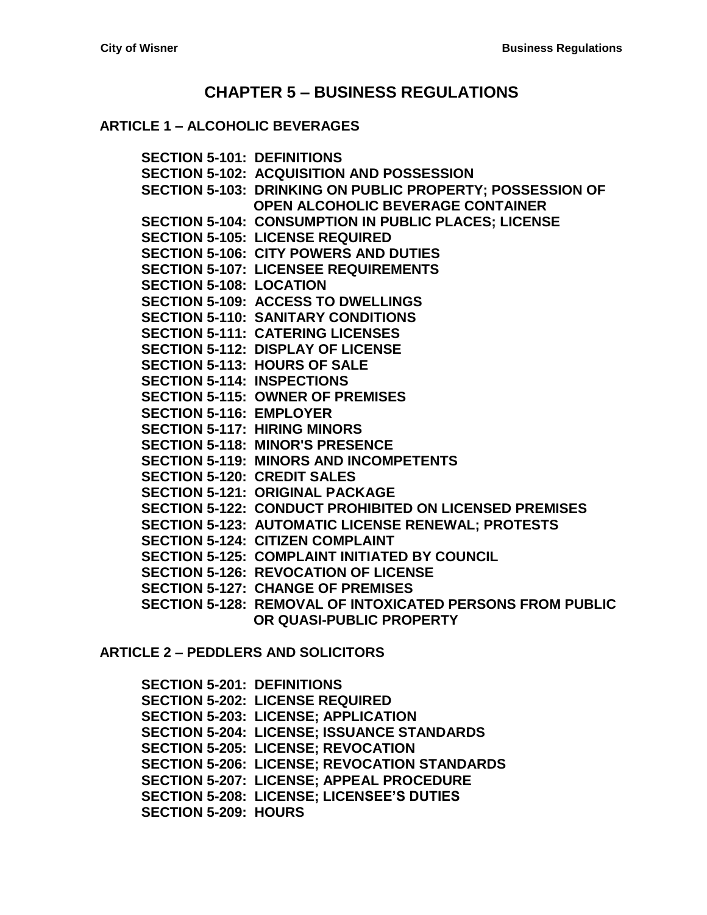## **CHAPTER 5 – [BUSINESS REGULATIONS](#page-2-0)**

#### **ARTICLE 1 – [ALCOHOLIC BEVERAGES](#page-2-1)**

**SECTION [5-101: DEFINITIONS](#page-2-2) [SECTION 5-102: ACQUISITION AND POSSESSION](#page-2-3) [SECTION 5-103: DRINKING ON PUBLIC PROPERTY; POSSESSION OF](#page-3-0)  [OPEN ALCOHOLIC BEVERAGE CONTAINER](#page-3-0) [SECTION 5-104: CONSUMPTION IN](#page-4-0) PUBLIC PLACES; LICENSE [SECTION 5-105: LICENSE REQUIRED](#page-4-1) [SECTION 5-106: CITY POWERS AND DUTIES](#page-5-0) [SECTION 5-107: LICENSEE REQUIREMENTS](#page-7-0) [SECTION 5-108: LOCATION](#page-7-1) [SECTION 5-109: ACCESS TO DWELLINGS](#page-7-2) [SECTION 5-110: SANITARY CONDITIONS](#page-8-0) [SECTION 5-111: CATERING LICENSES](#page-8-1) [SECTION 5-112: DISPLAY OF LICENSE](#page-8-2) [SECTION 5-113: HOURS OF SALE](#page-8-3) [SECTION 5-114: INSPECTIONS](#page-10-0) [SECTION 5-115: OWNER OF PREMISES](#page-10-1) [SECTION 5-116: EMPLOYER](#page-10-2) [SECTION 5-117: HIRING MINORS](#page-11-0) [SECTION 5-118: MINOR'S PRESENCE](#page-11-1) [SECTION 5-119: MINORS AND INCOMPETENTS](#page-11-2) [SECTION 5-120: CREDIT SALES](#page-11-3) [SECTION 5-121: ORIGINAL PACKAGE](#page-11-4) [SECTION 5-122: CONDUCT PROHIBITED ON LICENSED PREMISES](#page-12-0) [SECTION 5-123: AUTOMATIC LICENSE RENEWAL; PROTESTS](#page-12-1) [SECTION 5-124: CITIZEN COMPLAINT](#page-13-0) [SECTION 5-125: COMPLAINT INITIATED BY COUNCIL](#page-14-0) [SECTION 5-126: REVOCATION OF LICENSE](#page-14-1) [SECTION 5-127: CHANGE OF PREMISES](#page-14-2) [SECTION 5-128: REMOVAL OF INTOXICATED PERSONS FROM PUBLIC](#page-15-0)  [OR QUASI-PUBLIC PROPERTY](#page-15-0)**

#### **ARTICLE 2 – [PEDDLERS AND SOLICITORS](#page-16-0)**

**[SECTION 5-201: DEFINITIONS](#page-16-1) [SECTION 5-202: LICENSE REQUIRED](#page-16-2) [SECTION 5-203: LICENSE; APPLICATION](#page-16-3) [SECTION 5-204: LICENSE; ISSUANCE STANDARDS](#page-18-0) [SECTION 5-205: LICENSE; REVOCATION](#page-18-1) [SECTION 5-206: LICENSE; REVOCATION STANDARDS](#page-18-2) [SECTION 5-207: LICENSE; APPEAL PROCEDURE](#page-19-0) [SECTION 5-208: LICENSE; LICENSEE'S DUTIES](#page-19-1) [SECTION 5-209: HOURS](#page-19-2)**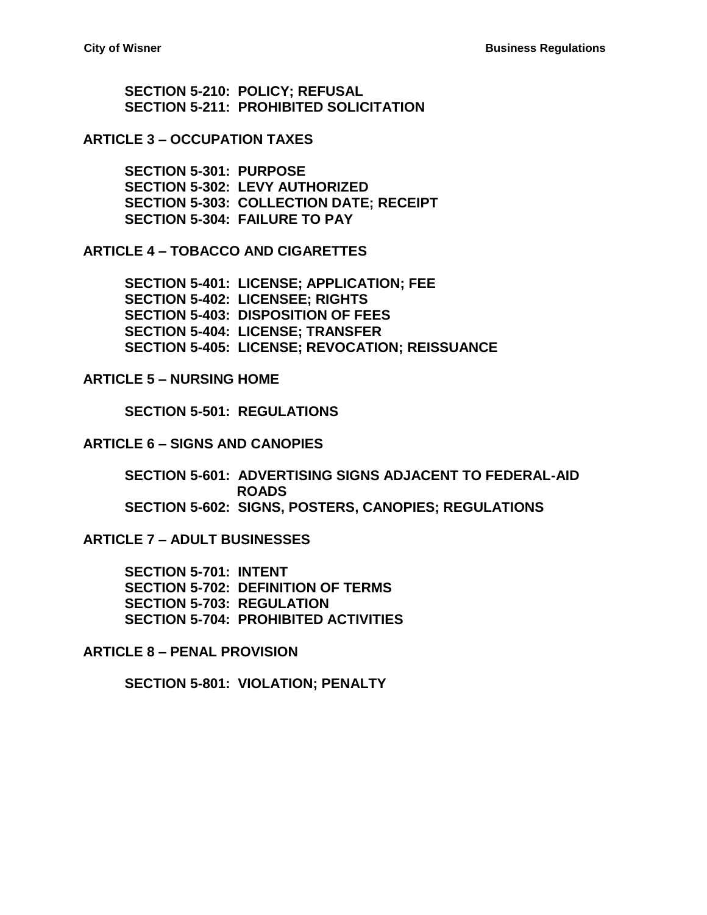**[SECTION 5-210: POLICY; REFUSAL](#page-19-3) [SECTION 5-211: PROHIBITED SOLICITATION](#page-20-0)**

#### **ARTICLE 3 – [OCCUPATION TAXES](#page-22-0)**

**[SECTION 5-301: PURPOSE](#page-22-1) [SECTION 5-302: LEVY AUTHORIZED](#page-22-2) [SECTION 5-303: COLLECTION DATE; RECEIPT](#page-23-0) [SECTION 5-304: FAILURE TO PAY](#page-23-1)**

**ARTICLE 4 – [TOBACCO AND CIGARETTES](#page-24-0)**

**[SECTION 5-401: LICENSE; APPLICATION; FEE](#page-24-1) [SECTION 5-402: LICENSEE; RIGHTS](#page-25-0) [SECTION 5-403: DISPOSITION OF](#page-25-1) FEES [SECTION 5-404: LICENSE; TRANSFER](#page-25-2) [SECTION 5-405: LICENSE; REVOCATION; REISSUANCE](#page-25-3)**

#### **ARTICLE 5 – [NURSING HOME](#page-26-0)**

**[SECTION 5-501: REGULATIONS](#page-26-1)**

#### **ARTICLE 6 – [SIGNS AND CANOPIES](#page-28-0)**

**[SECTION 5-601: ADVERTISING SIGNS ADJACENT TO FEDERAL-AID](#page-28-1)  [ROADS](#page-28-1) [SECTION 5-602: SIGNS, POSTERS, CANOPIES; REGULATIONS](#page-28-2)**

**ARTICLE 7 – [ADULT BUSINESSES](#page-30-0)**

**[SECTION 5-701: INTENT](#page-30-1) [SECTION 5-702: DEFINITION OF TERMS](#page-30-2) [SECTION 5-703: REGULATION](#page-31-0) [SECTION 5-704: PROHIBITED ACTIVITIES](#page-32-0)**

**ARTICLE 8 – [PENAL PROVISION](#page-34-0)**

**[SECTION 5-801: VIOLATION; PENALTY](#page-34-1)**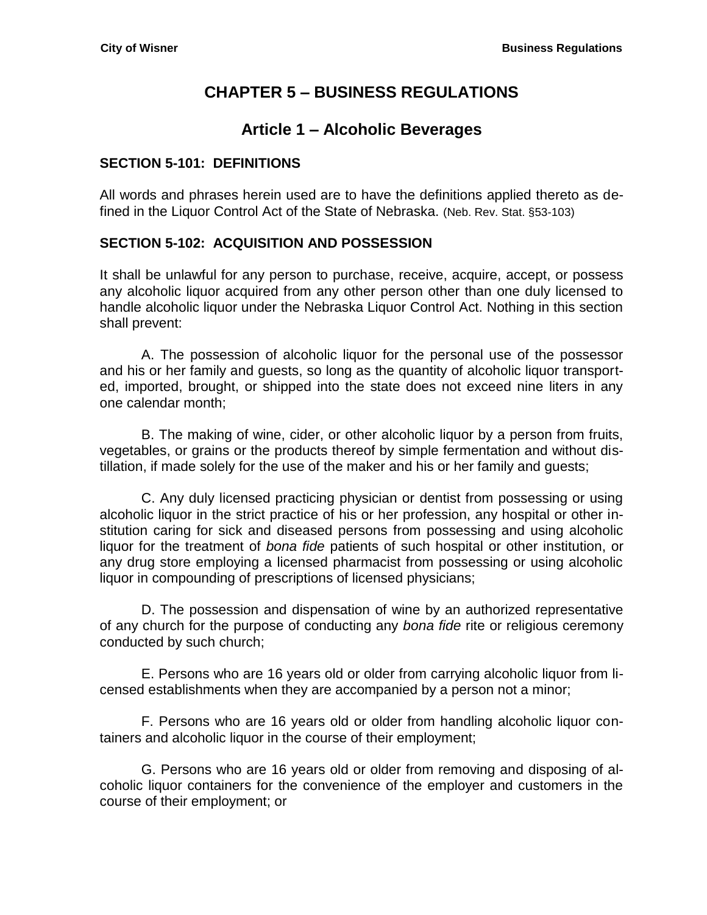# **CHAPTER 5 – BUSINESS REGULATIONS**

# **Article 1 – Alcoholic Beverages**

#### <span id="page-2-2"></span><span id="page-2-1"></span><span id="page-2-0"></span>**SECTION 5-101: DEFINITIONS**

All words and phrases herein used are to have the definitions applied thereto as defined in the Liquor Control Act of the State of Nebraska. (Neb. Rev. Stat. §53-103)

#### <span id="page-2-3"></span>**SECTION 5-102: ACQUISITION AND POSSESSION**

It shall be unlawful for any person to purchase, receive, acquire, accept, or possess any alcoholic liquor acquired from any other person other than one duly licensed to handle alcoholic liquor under the Nebraska Liquor Control Act. Nothing in this section shall prevent:

A. The possession of alcoholic liquor for the personal use of the possessor and his or her family and guests, so long as the quantity of alcoholic liquor transported, imported, brought, or shipped into the state does not exceed nine liters in any one calendar month;

B. The making of wine, cider, or other alcoholic liquor by a person from fruits, vegetables, or grains or the products thereof by simple fermentation and without distillation, if made solely for the use of the maker and his or her family and guests;

C. Any duly licensed practicing physician or dentist from possessing or using alcoholic liquor in the strict practice of his or her profession, any hospital or other institution caring for sick and diseased persons from possessing and using alcoholic liquor for the treatment of *bona fide* patients of such hospital or other institution, or any drug store employing a licensed pharmacist from possessing or using alcoholic liquor in compounding of prescriptions of licensed physicians;

D. The possession and dispensation of wine by an authorized representative of any church for the purpose of conducting any *bona fide* rite or religious ceremony conducted by such church;

E. Persons who are 16 years old or older from carrying alcoholic liquor from licensed establishments when they are accompanied by a person not a minor;

F. Persons who are 16 years old or older from handling alcoholic liquor containers and alcoholic liquor in the course of their employment;

G. Persons who are 16 years old or older from removing and disposing of alcoholic liquor containers for the convenience of the employer and customers in the course of their employment; or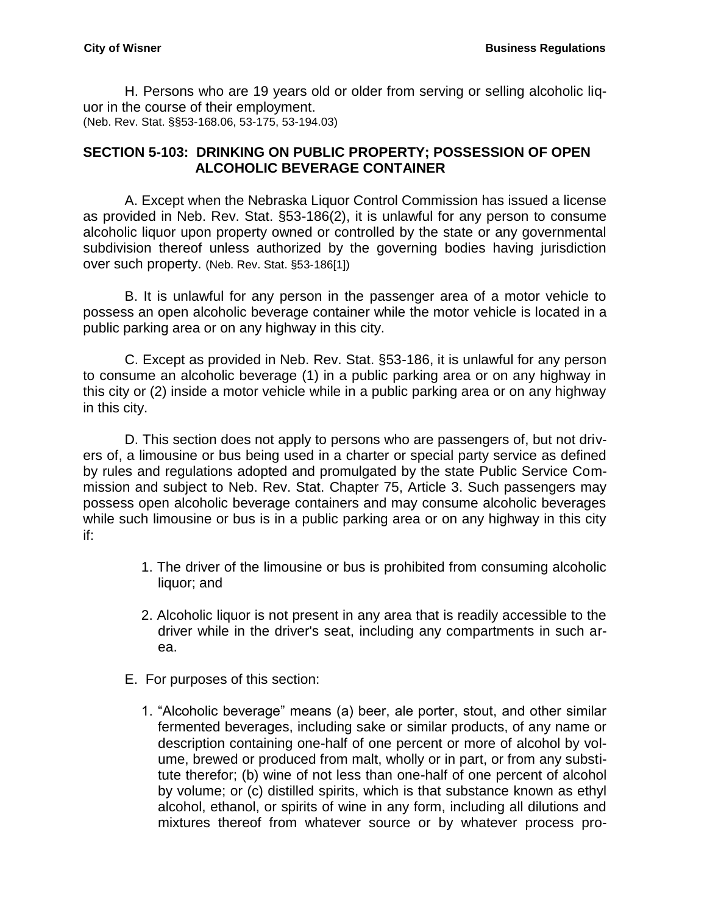H. Persons who are 19 years old or older from serving or selling alcoholic liquor in the course of their employment. (Neb. Rev. Stat. §§53-168.06, 53-175, 53-194.03)

#### <span id="page-3-0"></span>**SECTION 5-103: DRINKING ON PUBLIC PROPERTY; POSSESSION OF OPEN ALCOHOLIC BEVERAGE CONTAINER**

A. Except when the Nebraska Liquor Control Commission has issued a license as provided in Neb. Rev. Stat. §53-186(2), it is unlawful for any person to consume alcoholic liquor upon property owned or controlled by the state or any governmental subdivision thereof unless authorized by the governing bodies having jurisdiction over such property. (Neb. Rev. Stat. §53-186[1])

B. It is unlawful for any person in the passenger area of a motor vehicle to possess an open alcoholic beverage container while the motor vehicle is located in a public parking area or on any highway in this city.

C. Except as provided in Neb. Rev. Stat. §53-186, it is unlawful for any person to consume an alcoholic beverage (1) in a public parking area or on any highway in this city or (2) inside a motor vehicle while in a public parking area or on any highway in this city.

D. This section does not apply to persons who are passengers of, but not drivers of, a limousine or bus being used in a charter or special party service as defined by rules and regulations adopted and promulgated by the state Public Service Commission and subject to Neb. Rev. Stat. Chapter 75, Article 3. Such passengers may possess open alcoholic beverage containers and may consume alcoholic beverages while such limousine or bus is in a public parking area or on any highway in this city if:

- 1. The driver of the limousine or bus is prohibited from consuming alcoholic liquor; and
- 2. Alcoholic liquor is not present in any area that is readily accessible to the driver while in the driver's seat, including any compartments in such area.
- E. For purposes of this section:
	- 1. "Alcoholic beverage" means (a) beer, ale porter, stout, and other similar fermented beverages, including sake or similar products, of any name or description containing one-half of one percent or more of alcohol by volume, brewed or produced from malt, wholly or in part, or from any substitute therefor; (b) wine of not less than one-half of one percent of alcohol by volume; or (c) distilled spirits, which is that substance known as ethyl alcohol, ethanol, or spirits of wine in any form, including all dilutions and mixtures thereof from whatever source or by whatever process pro-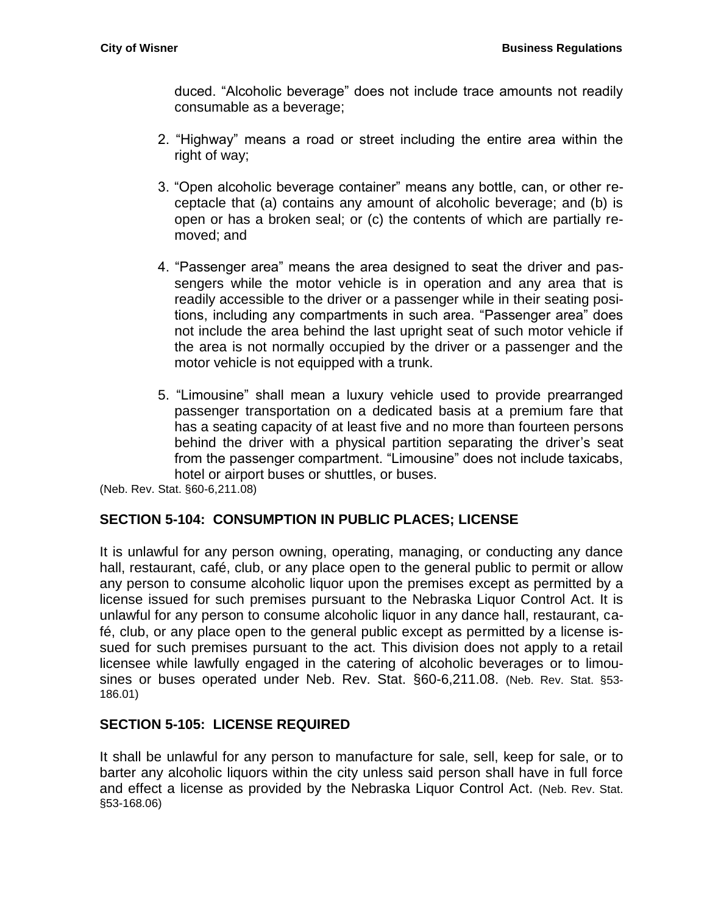duced. "Alcoholic beverage" does not include trace amounts not readily consumable as a beverage;

- 2. "Highway" means a road or street including the entire area within the right of way;
- 3. "Open alcoholic beverage container" means any bottle, can, or other receptacle that (a) contains any amount of alcoholic beverage; and (b) is open or has a broken seal; or (c) the contents of which are partially removed; and
- 4. "Passenger area" means the area designed to seat the driver and passengers while the motor vehicle is in operation and any area that is readily accessible to the driver or a passenger while in their seating positions, including any compartments in such area. "Passenger area" does not include the area behind the last upright seat of such motor vehicle if the area is not normally occupied by the driver or a passenger and the motor vehicle is not equipped with a trunk.
- 5. "Limousine" shall mean a luxury vehicle used to provide prearranged passenger transportation on a dedicated basis at a premium fare that has a seating capacity of at least five and no more than fourteen persons behind the driver with a physical partition separating the driver's seat from the passenger compartment. "Limousine" does not include taxicabs, hotel or airport buses or shuttles, or buses.

(Neb. Rev. Stat. §60-6,211.08)

#### <span id="page-4-0"></span>**SECTION 5-104: CONSUMPTION IN PUBLIC PLACES; LICENSE**

It is unlawful for any person owning, operating, managing, or conducting any dance hall, restaurant, café, club, or any place open to the general public to permit or allow any person to consume alcoholic liquor upon the premises except as permitted by a license issued for such premises pursuant to the Nebraska Liquor Control Act. It is unlawful for any person to consume alcoholic liquor in any dance hall, restaurant, café, club, or any place open to the general public except as permitted by a license issued for such premises pursuant to the act. This division does not apply to a retail licensee while lawfully engaged in the catering of alcoholic beverages or to limousines or buses operated under Neb. Rev. Stat. §60-6,211.08. (Neb. Rev. Stat. §53- 186.01)

#### <span id="page-4-1"></span>**SECTION 5-105: LICENSE REQUIRED**

It shall be unlawful for any person to manufacture for sale, sell, keep for sale, or to barter any alcoholic liquors within the city unless said person shall have in full force and effect a license as provided by the Nebraska Liquor Control Act. (Neb. Rev. Stat. §53-168.06)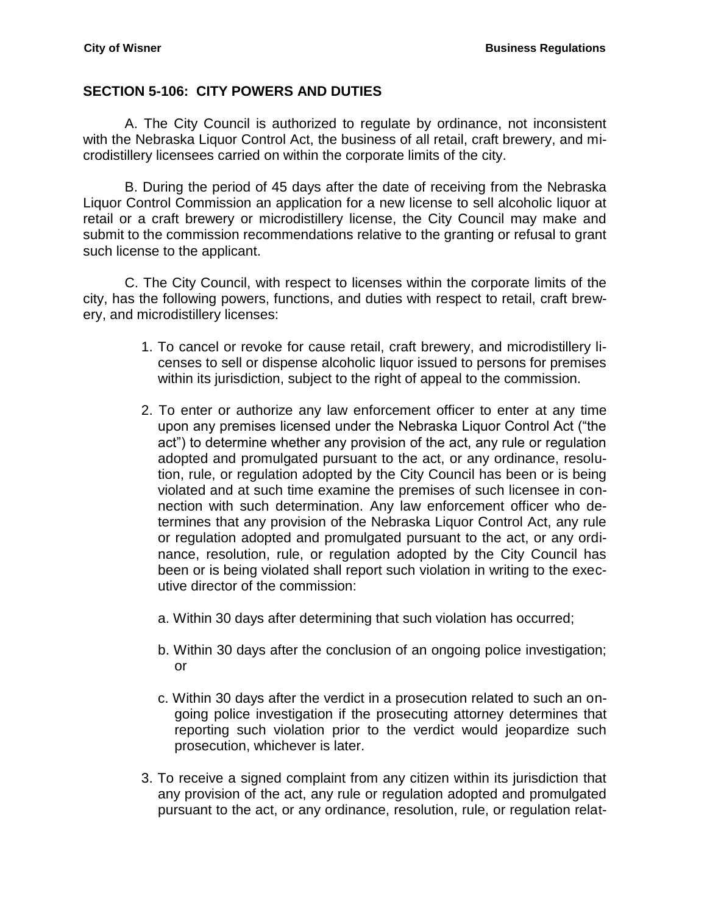#### <span id="page-5-0"></span>**SECTION 5-106: CITY POWERS AND DUTIES**

A. The City Council is authorized to regulate by ordinance, not inconsistent with the Nebraska Liquor Control Act, the business of all retail, craft brewery, and microdistillery licensees carried on within the corporate limits of the city.

B. During the period of 45 days after the date of receiving from the Nebraska Liquor Control Commission an application for a new license to sell alcoholic liquor at retail or a craft brewery or microdistillery license, the City Council may make and submit to the commission recommendations relative to the granting or refusal to grant such license to the applicant.

C. The City Council, with respect to licenses within the corporate limits of the city, has the following powers, functions, and duties with respect to retail, craft brewery, and microdistillery licenses:

- 1. To cancel or revoke for cause retail, craft brewery, and microdistillery licenses to sell or dispense alcoholic liquor issued to persons for premises within its jurisdiction, subject to the right of appeal to the commission.
- 2. To enter or authorize any law enforcement officer to enter at any time upon any premises licensed under the Nebraska Liquor Control Act ("the act") to determine whether any provision of the act, any rule or regulation adopted and promulgated pursuant to the act, or any ordinance, resolution, rule, or regulation adopted by the City Council has been or is being violated and at such time examine the premises of such licensee in connection with such determination. Any law enforcement officer who determines that any provision of the Nebraska Liquor Control Act, any rule or regulation adopted and promulgated pursuant to the act, or any ordinance, resolution, rule, or regulation adopted by the City Council has been or is being violated shall report such violation in writing to the executive director of the commission:
	- a. Within 30 days after determining that such violation has occurred;
	- b. Within 30 days after the conclusion of an ongoing police investigation; or
	- c. Within 30 days after the verdict in a prosecution related to such an ongoing police investigation if the prosecuting attorney determines that reporting such violation prior to the verdict would jeopardize such prosecution, whichever is later.
- 3. To receive a signed complaint from any citizen within its jurisdiction that any provision of the act, any rule or regulation adopted and promulgated pursuant to the act, or any ordinance, resolution, rule, or regulation relat-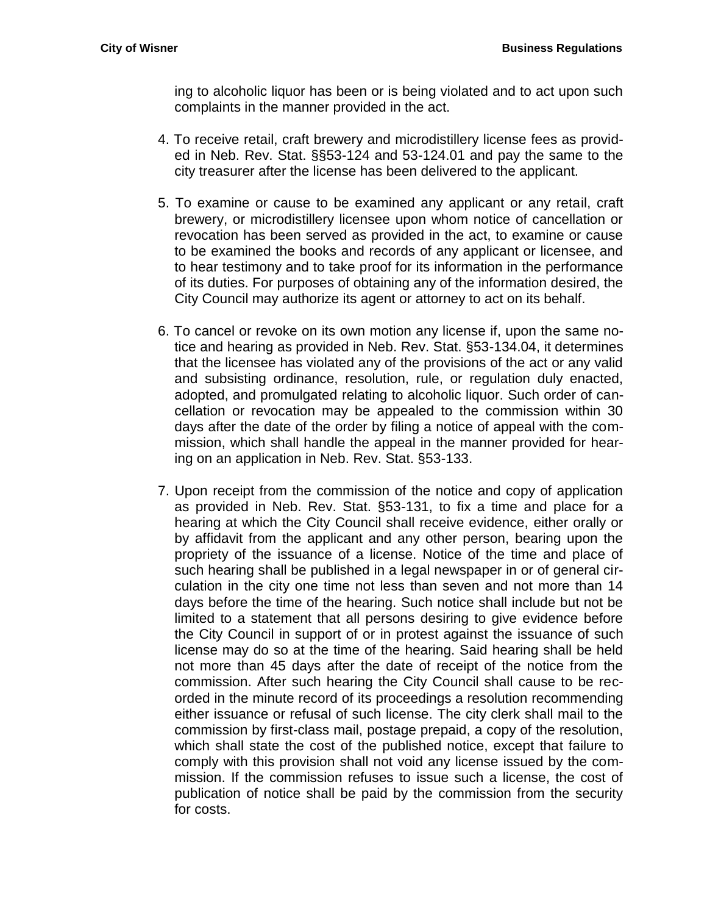ing to alcoholic liquor has been or is being violated and to act upon such complaints in the manner provided in the act.

- 4. To receive retail, craft brewery and microdistillery license fees as provided in Neb. Rev. Stat. §§53-124 and 53-124.01 and pay the same to the city treasurer after the license has been delivered to the applicant.
- 5. To examine or cause to be examined any applicant or any retail, craft brewery, or microdistillery licensee upon whom notice of cancellation or revocation has been served as provided in the act, to examine or cause to be examined the books and records of any applicant or licensee, and to hear testimony and to take proof for its information in the performance of its duties. For purposes of obtaining any of the information desired, the City Council may authorize its agent or attorney to act on its behalf.
- 6. To cancel or revoke on its own motion any license if, upon the same notice and hearing as provided in Neb. Rev. Stat. §53-134.04, it determines that the licensee has violated any of the provisions of the act or any valid and subsisting ordinance, resolution, rule, or regulation duly enacted, adopted, and promulgated relating to alcoholic liquor. Such order of cancellation or revocation may be appealed to the commission within 30 days after the date of the order by filing a notice of appeal with the commission, which shall handle the appeal in the manner provided for hearing on an application in Neb. Rev. Stat. §53-133.
- 7. Upon receipt from the commission of the notice and copy of application as provided in Neb. Rev. Stat. §53-131, to fix a time and place for a hearing at which the City Council shall receive evidence, either orally or by affidavit from the applicant and any other person, bearing upon the propriety of the issuance of a license. Notice of the time and place of such hearing shall be published in a legal newspaper in or of general circulation in the city one time not less than seven and not more than 14 days before the time of the hearing. Such notice shall include but not be limited to a statement that all persons desiring to give evidence before the City Council in support of or in protest against the issuance of such license may do so at the time of the hearing. Said hearing shall be held not more than 45 days after the date of receipt of the notice from the commission. After such hearing the City Council shall cause to be recorded in the minute record of its proceedings a resolution recommending either issuance or refusal of such license. The city clerk shall mail to the commission by first-class mail, postage prepaid, a copy of the resolution, which shall state the cost of the published notice, except that failure to comply with this provision shall not void any license issued by the commission. If the commission refuses to issue such a license, the cost of publication of notice shall be paid by the commission from the security for costs.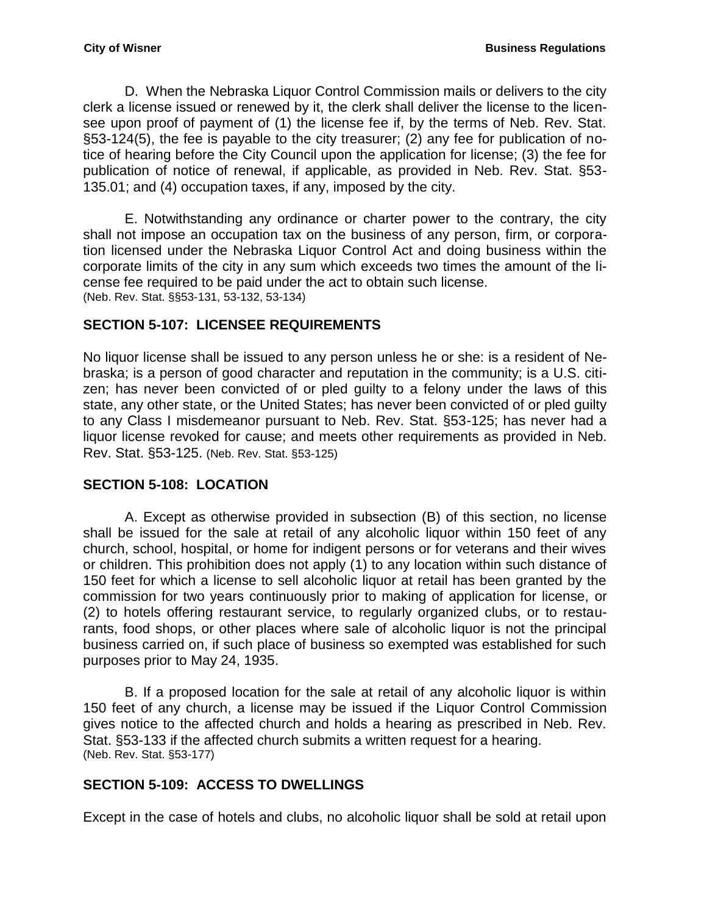D. When the Nebraska Liquor Control Commission mails or delivers to the city clerk a license issued or renewed by it, the clerk shall deliver the license to the licensee upon proof of payment of (1) the license fee if, by the terms of Neb. Rev. Stat. §53-124(5), the fee is payable to the city treasurer; (2) any fee for publication of notice of hearing before the City Council upon the application for license; (3) the fee for publication of notice of renewal, if applicable, as provided in Neb. Rev. Stat. §53- 135.01; and (4) occupation taxes, if any, imposed by the city.

E. Notwithstanding any ordinance or charter power to the contrary, the city shall not impose an occupation tax on the business of any person, firm, or corporation licensed under the Nebraska Liquor Control Act and doing business within the corporate limits of the city in any sum which exceeds two times the amount of the license fee required to be paid under the act to obtain such license. (Neb. Rev. Stat. §§53-131, 53-132, 53-134)

## <span id="page-7-0"></span>**SECTION 5-107: LICENSEE REQUIREMENTS**

No liquor license shall be issued to any person unless he or she: is a resident of Nebraska; is a person of good character and reputation in the community; is a U.S. citizen; has never been convicted of or pled guilty to a felony under the laws of this state, any other state, or the United States; has never been convicted of or pled guilty to any Class I misdemeanor pursuant to Neb. Rev. Stat. §53-125; has never had a liquor license revoked for cause; and meets other requirements as provided in Neb. Rev. Stat. §53-125. (Neb. Rev. Stat. §53-125)

## <span id="page-7-1"></span>**SECTION 5-108: LOCATION**

A. Except as otherwise provided in subsection (B) of this section, no license shall be issued for the sale at retail of any alcoholic liquor within 150 feet of any church, school, hospital, or home for indigent persons or for veterans and their wives or children. This prohibition does not apply (1) to any location within such distance of 150 feet for which a license to sell alcoholic liquor at retail has been granted by the commission for two years continuously prior to making of application for license, or (2) to hotels offering restaurant service, to regularly organized clubs, or to restaurants, food shops, or other places where sale of alcoholic liquor is not the principal business carried on, if such place of business so exempted was established for such purposes prior to May 24, 1935.

B. If a proposed location for the sale at retail of any alcoholic liquor is within 150 feet of any church, a license may be issued if the Liquor Control Commission gives notice to the affected church and holds a hearing as prescribed in Neb. Rev. Stat. §53-133 if the affected church submits a written request for a hearing. (Neb. Rev. Stat. §53-177)

## <span id="page-7-2"></span>**SECTION 5-109: ACCESS TO DWELLINGS**

Except in the case of hotels and clubs, no alcoholic liquor shall be sold at retail upon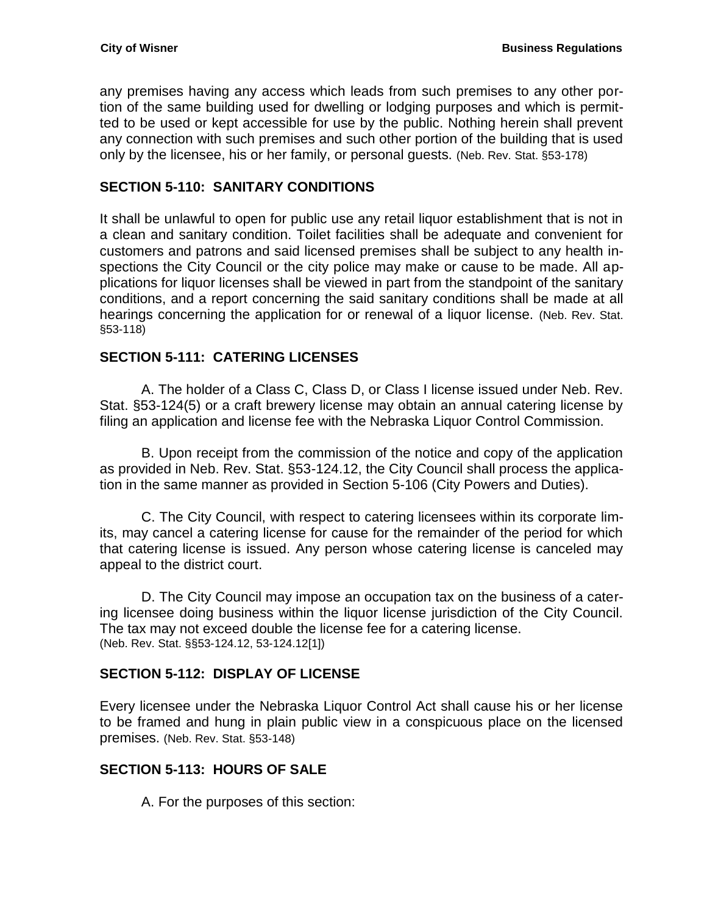any premises having any access which leads from such premises to any other portion of the same building used for dwelling or lodging purposes and which is permitted to be used or kept accessible for use by the public. Nothing herein shall prevent any connection with such premises and such other portion of the building that is used only by the licensee, his or her family, or personal guests. (Neb. Rev. Stat. §53-178)

## <span id="page-8-0"></span>**SECTION 5-110: SANITARY CONDITIONS**

It shall be unlawful to open for public use any retail liquor establishment that is not in a clean and sanitary condition. Toilet facilities shall be adequate and convenient for customers and patrons and said licensed premises shall be subject to any health inspections the City Council or the city police may make or cause to be made. All applications for liquor licenses shall be viewed in part from the standpoint of the sanitary conditions, and a report concerning the said sanitary conditions shall be made at all hearings concerning the application for or renewal of a liquor license. (Neb. Rev. Stat. §53-118)

## <span id="page-8-1"></span>**SECTION 5-111: CATERING LICENSES**

A. The holder of a Class C, Class D, or Class I license issued under Neb. Rev. Stat. §53-124(5) or a craft brewery license may obtain an annual catering license by filing an application and license fee with the Nebraska Liquor Control Commission.

B. Upon receipt from the commission of the notice and copy of the application as provided in Neb. Rev. Stat. §53-124.12, the City Council shall process the application in the same manner as provided in Section 5-106 (City Powers and Duties).

C. The City Council, with respect to catering licensees within its corporate limits, may cancel a catering license for cause for the remainder of the period for which that catering license is issued. Any person whose catering license is canceled may appeal to the district court.

D. The City Council may impose an occupation tax on the business of a catering licensee doing business within the liquor license jurisdiction of the City Council. The tax may not exceed double the license fee for a catering license. (Neb. Rev. Stat. §§53-124.12, 53-124.12[1])

## <span id="page-8-2"></span>**SECTION 5-112: DISPLAY OF LICENSE**

Every licensee under the Nebraska Liquor Control Act shall cause his or her license to be framed and hung in plain public view in a conspicuous place on the licensed premises. (Neb. Rev. Stat. §53-148)

## <span id="page-8-3"></span>**SECTION 5-113: HOURS OF SALE**

A. For the purposes of this section: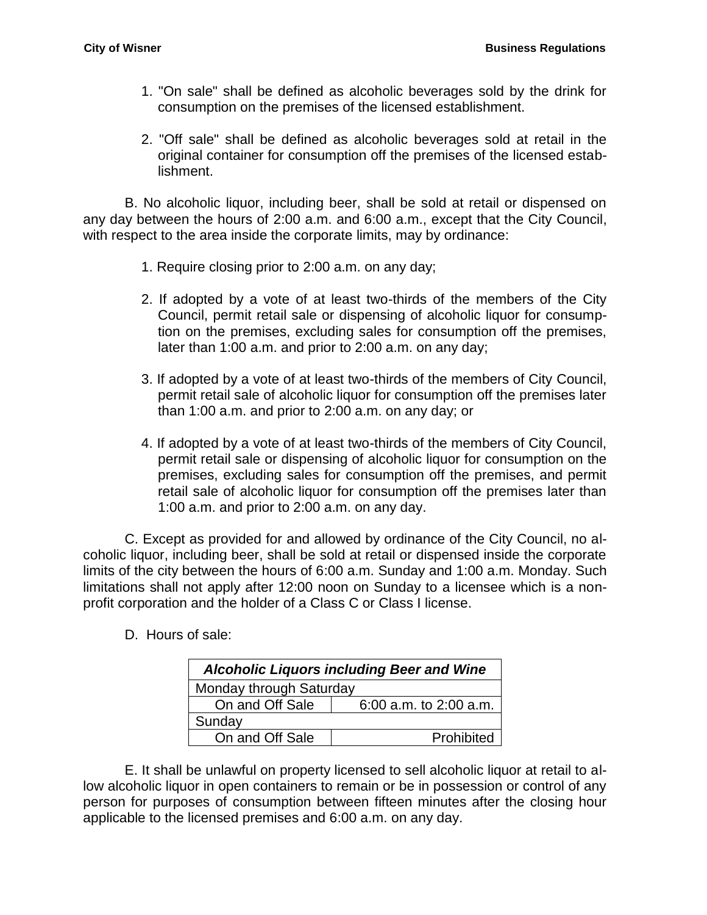- 1. "On sale" shall be defined as alcoholic beverages sold by the drink for consumption on the premises of the licensed establishment.
- 2. "Off sale" shall be defined as alcoholic beverages sold at retail in the original container for consumption off the premises of the licensed establishment.

B. No alcoholic liquor, including beer, shall be sold at retail or dispensed on any day between the hours of 2:00 a.m. and 6:00 a.m., except that the City Council, with respect to the area inside the corporate limits, may by ordinance:

- 1. Require closing prior to 2:00 a.m. on any day;
- 2. If adopted by a vote of at least two-thirds of the members of the City Council, permit retail sale or dispensing of alcoholic liquor for consumption on the premises, excluding sales for consumption off the premises, later than 1:00 a.m. and prior to 2:00 a.m. on any day;
- 3. If adopted by a vote of at least two-thirds of the members of City Council, permit retail sale of alcoholic liquor for consumption off the premises later than 1:00 a.m. and prior to 2:00 a.m. on any day; or
- 4. If adopted by a vote of at least two-thirds of the members of City Council, permit retail sale or dispensing of alcoholic liquor for consumption on the premises, excluding sales for consumption off the premises, and permit retail sale of alcoholic liquor for consumption off the premises later than 1:00 a.m. and prior to 2:00 a.m. on any day.

C. Except as provided for and allowed by ordinance of the City Council, no alcoholic liquor, including beer, shall be sold at retail or dispensed inside the corporate limits of the city between the hours of 6:00 a.m. Sunday and 1:00 a.m. Monday. Such limitations shall not apply after 12:00 noon on Sunday to a licensee which is a nonprofit corporation and the holder of a Class C or Class I license.

D. Hours of sale:

| <b>Alcoholic Liquors including Beer and Wine</b> |                            |  |
|--------------------------------------------------|----------------------------|--|
| Monday through Saturday                          |                            |  |
| On and Off Sale                                  | $6:00$ a.m. to $2:00$ a.m. |  |
| Sunday                                           |                            |  |
| On and Off Sale                                  | Prohibited                 |  |

E. It shall be unlawful on property licensed to sell alcoholic liquor at retail to allow alcoholic liquor in open containers to remain or be in possession or control of any person for purposes of consumption between fifteen minutes after the closing hour applicable to the licensed premises and 6:00 a.m. on any day.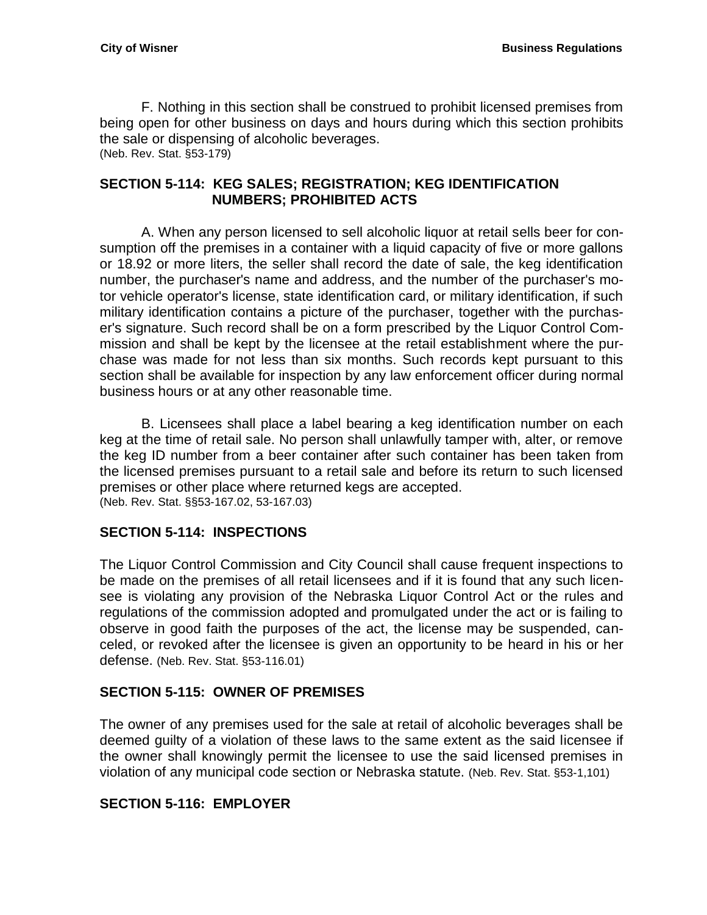F. Nothing in this section shall be construed to prohibit licensed premises from being open for other business on days and hours during which this section prohibits the sale or dispensing of alcoholic beverages. (Neb. Rev. Stat. §53-179)

## **SECTION 5-114: KEG SALES; REGISTRATION; KEG IDENTIFICATION NUMBERS; PROHIBITED ACTS**

A. When any person licensed to sell alcoholic liquor at retail sells beer for consumption off the premises in a container with a liquid capacity of five or more gallons or 18.92 or more liters, the seller shall record the date of sale, the keg identification number, the purchaser's name and address, and the number of the purchaser's motor vehicle operator's license, state identification card, or military identification, if such military identification contains a picture of the purchaser, together with the purchaser's signature. Such record shall be on a form prescribed by the Liquor Control Commission and shall be kept by the licensee at the retail establishment where the purchase was made for not less than six months. Such records kept pursuant to this section shall be available for inspection by any law enforcement officer during normal business hours or at any other reasonable time.

B. Licensees shall place a label bearing a keg identification number on each keg at the time of retail sale. No person shall unlawfully tamper with, alter, or remove the keg ID number from a beer container after such container has been taken from the licensed premises pursuant to a retail sale and before its return to such licensed premises or other place where returned kegs are accepted. (Neb. Rev. Stat. §§53-167.02, 53-167.03)

## <span id="page-10-0"></span>**SECTION 5-114: INSPECTIONS**

The Liquor Control Commission and City Council shall cause frequent inspections to be made on the premises of all retail licensees and if it is found that any such licensee is violating any provision of the Nebraska Liquor Control Act or the rules and regulations of the commission adopted and promulgated under the act or is failing to observe in good faith the purposes of the act, the license may be suspended, canceled, or revoked after the licensee is given an opportunity to be heard in his or her defense. (Neb. Rev. Stat. §53-116.01)

## <span id="page-10-1"></span>**SECTION 5-115: OWNER OF PREMISES**

The owner of any premises used for the sale at retail of alcoholic beverages shall be deemed guilty of a violation of these laws to the same extent as the said licensee if the owner shall knowingly permit the licensee to use the said licensed premises in violation of any municipal code section or Nebraska statute. (Neb. Rev. Stat. §53-1,101)

## <span id="page-10-2"></span>**SECTION 5-116: EMPLOYER**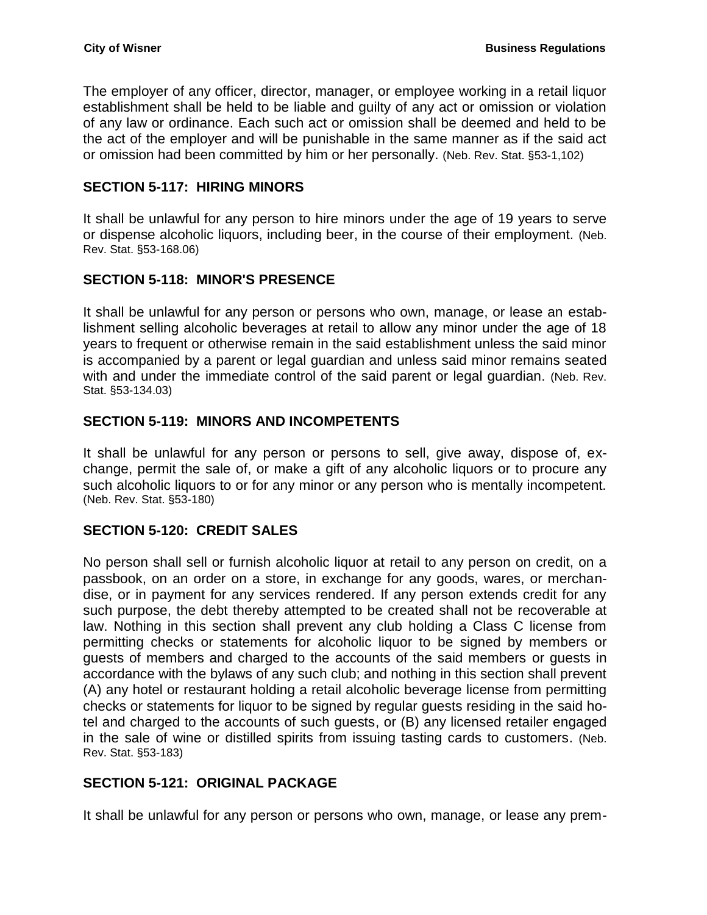The employer of any officer, director, manager, or employee working in a retail liquor establishment shall be held to be liable and guilty of any act or omission or violation of any law or ordinance. Each such act or omission shall be deemed and held to be the act of the employer and will be punishable in the same manner as if the said act or omission had been committed by him or her personally. (Neb. Rev. Stat. §53-1,102)

#### <span id="page-11-0"></span>**SECTION 5-117: HIRING MINORS**

It shall be unlawful for any person to hire minors under the age of 19 years to serve or dispense alcoholic liquors, including beer, in the course of their employment. (Neb. Rev. Stat. §53-168.06)

## <span id="page-11-1"></span>**SECTION 5-118: MINOR'S PRESENCE**

It shall be unlawful for any person or persons who own, manage, or lease an establishment selling alcoholic beverages at retail to allow any minor under the age of 18 years to frequent or otherwise remain in the said establishment unless the said minor is accompanied by a parent or legal guardian and unless said minor remains seated with and under the immediate control of the said parent or legal guardian. (Neb. Rev. Stat. §53-134.03)

## <span id="page-11-2"></span>**SECTION 5-119: MINORS AND INCOMPETENTS**

It shall be unlawful for any person or persons to sell, give away, dispose of, exchange, permit the sale of, or make a gift of any alcoholic liquors or to procure any such alcoholic liquors to or for any minor or any person who is mentally incompetent. (Neb. Rev. Stat. §53-180)

## <span id="page-11-3"></span>**SECTION 5-120: CREDIT SALES**

No person shall sell or furnish alcoholic liquor at retail to any person on credit, on a passbook, on an order on a store, in exchange for any goods, wares, or merchandise, or in payment for any services rendered. If any person extends credit for any such purpose, the debt thereby attempted to be created shall not be recoverable at law. Nothing in this section shall prevent any club holding a Class C license from permitting checks or statements for alcoholic liquor to be signed by members or guests of members and charged to the accounts of the said members or guests in accordance with the bylaws of any such club; and nothing in this section shall prevent (A) any hotel or restaurant holding a retail alcoholic beverage license from permitting checks or statements for liquor to be signed by regular guests residing in the said hotel and charged to the accounts of such guests, or (B) any licensed retailer engaged in the sale of wine or distilled spirits from issuing tasting cards to customers. (Neb. Rev. Stat. §53-183)

#### <span id="page-11-4"></span>**SECTION 5-121: ORIGINAL PACKAGE**

It shall be unlawful for any person or persons who own, manage, or lease any prem-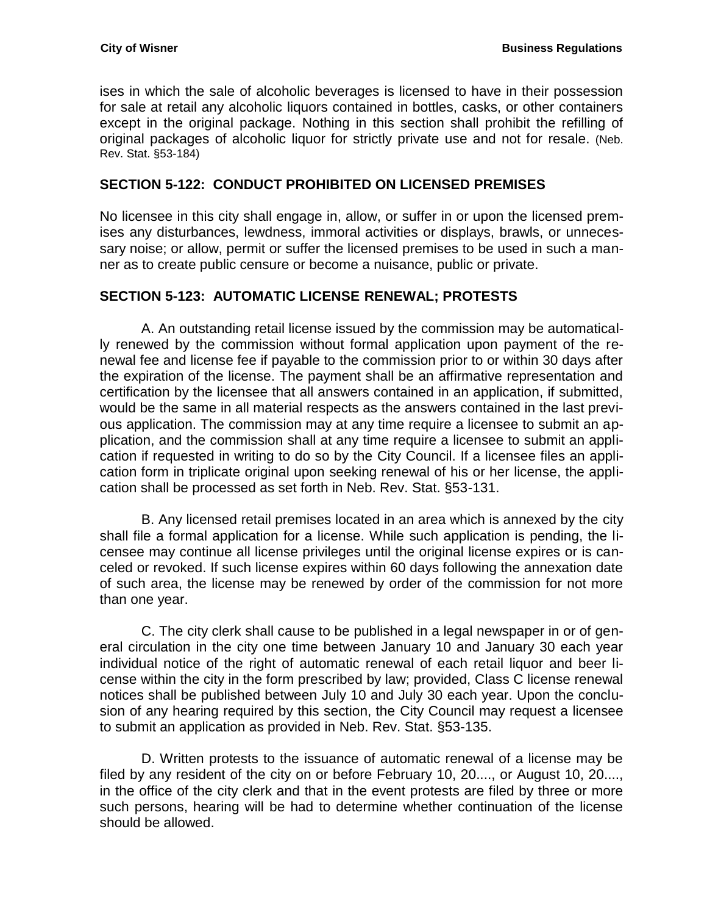ises in which the sale of alcoholic beverages is licensed to have in their possession for sale at retail any alcoholic liquors contained in bottles, casks, or other containers except in the original package. Nothing in this section shall prohibit the refilling of original packages of alcoholic liquor for strictly private use and not for resale. (Neb. Rev. Stat. §53-184)

#### <span id="page-12-0"></span>**SECTION 5-122: CONDUCT PROHIBITED ON LICENSED PREMISES**

No licensee in this city shall engage in, allow, or suffer in or upon the licensed premises any disturbances, lewdness, immoral activities or displays, brawls, or unnecessary noise; or allow, permit or suffer the licensed premises to be used in such a manner as to create public censure or become a nuisance, public or private.

## <span id="page-12-1"></span>**SECTION 5-123: AUTOMATIC LICENSE RENEWAL; PROTESTS**

A. An outstanding retail license issued by the commission may be automatically renewed by the commission without formal application upon payment of the renewal fee and license fee if payable to the commission prior to or within 30 days after the expiration of the license. The payment shall be an affirmative representation and certification by the licensee that all answers contained in an application, if submitted, would be the same in all material respects as the answers contained in the last previous application. The commission may at any time require a licensee to submit an application, and the commission shall at any time require a licensee to submit an application if requested in writing to do so by the City Council. If a licensee files an application form in triplicate original upon seeking renewal of his or her license, the application shall be processed as set forth in Neb. Rev. Stat. §53-131.

B. Any licensed retail premises located in an area which is annexed by the city shall file a formal application for a license. While such application is pending, the licensee may continue all license privileges until the original license expires or is canceled or revoked. If such license expires within 60 days following the annexation date of such area, the license may be renewed by order of the commission for not more than one year.

C. The city clerk shall cause to be published in a legal newspaper in or of general circulation in the city one time between January 10 and January 30 each year individual notice of the right of automatic renewal of each retail liquor and beer license within the city in the form prescribed by law; provided, Class C license renewal notices shall be published between July 10 and July 30 each year. Upon the conclusion of any hearing required by this section, the City Council may request a licensee to submit an application as provided in Neb. Rev. Stat. §53-135.

D. Written protests to the issuance of automatic renewal of a license may be filed by any resident of the city on or before February 10, 20...., or August 10, 20...., in the office of the city clerk and that in the event protests are filed by three or more such persons, hearing will be had to determine whether continuation of the license should be allowed.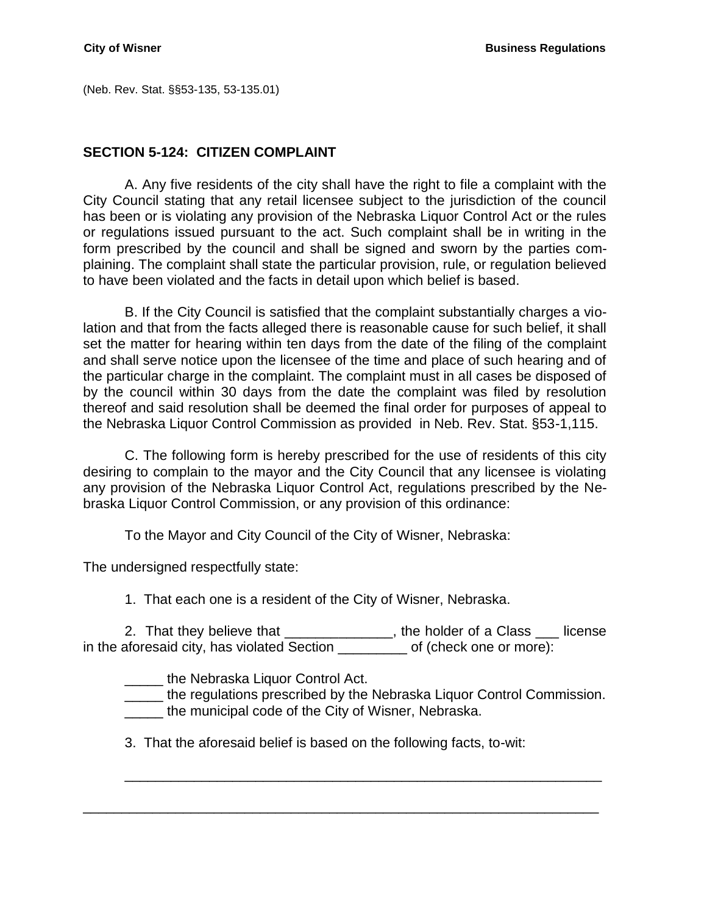(Neb. Rev. Stat. §§53-135, 53-135.01)

#### <span id="page-13-0"></span>**SECTION 5-124: CITIZEN COMPLAINT**

A. Any five residents of the city shall have the right to file a complaint with the City Council stating that any retail licensee subject to the jurisdiction of the council has been or is violating any provision of the Nebraska Liquor Control Act or the rules or regulations issued pursuant to the act. Such complaint shall be in writing in the form prescribed by the council and shall be signed and sworn by the parties complaining. The complaint shall state the particular provision, rule, or regulation believed to have been violated and the facts in detail upon which belief is based.

B. If the City Council is satisfied that the complaint substantially charges a violation and that from the facts alleged there is reasonable cause for such belief, it shall set the matter for hearing within ten days from the date of the filing of the complaint and shall serve notice upon the licensee of the time and place of such hearing and of the particular charge in the complaint. The complaint must in all cases be disposed of by the council within 30 days from the date the complaint was filed by resolution thereof and said resolution shall be deemed the final order for purposes of appeal to the Nebraska Liquor Control Commission as provided in Neb. Rev. Stat. §53-1,115.

C. The following form is hereby prescribed for the use of residents of this city desiring to complain to the mayor and the City Council that any licensee is violating any provision of the Nebraska Liquor Control Act, regulations prescribed by the Nebraska Liquor Control Commission, or any provision of this ordinance:

To the Mayor and City Council of the City of Wisner, Nebraska:

The undersigned respectfully state:

1. That each one is a resident of the City of Wisner, Nebraska.

2. That they believe that \_\_\_\_\_\_\_\_\_\_\_\_\_, the holder of a Class \_\_\_ license in the aforesaid city, has violated Section \_\_\_\_\_\_\_\_\_ of (check one or more):

**LECT** the Nebraska Liquor Control Act.

\_\_\_\_\_ the regulations prescribed by the Nebraska Liquor Control Commission. the municipal code of the City of Wisner, Nebraska.

\_\_\_\_\_\_\_\_\_\_\_\_\_\_\_\_\_\_\_\_\_\_\_\_\_\_\_\_\_\_\_\_\_\_\_\_\_\_\_\_\_\_\_\_\_\_\_\_\_\_\_\_\_\_\_\_\_\_\_\_\_\_

3. That the aforesaid belief is based on the following facts, to-wit:

\_\_\_\_\_\_\_\_\_\_\_\_\_\_\_\_\_\_\_\_\_\_\_\_\_\_\_\_\_\_\_\_\_\_\_\_\_\_\_\_\_\_\_\_\_\_\_\_\_\_\_\_\_\_\_\_\_\_\_\_\_\_\_\_\_\_\_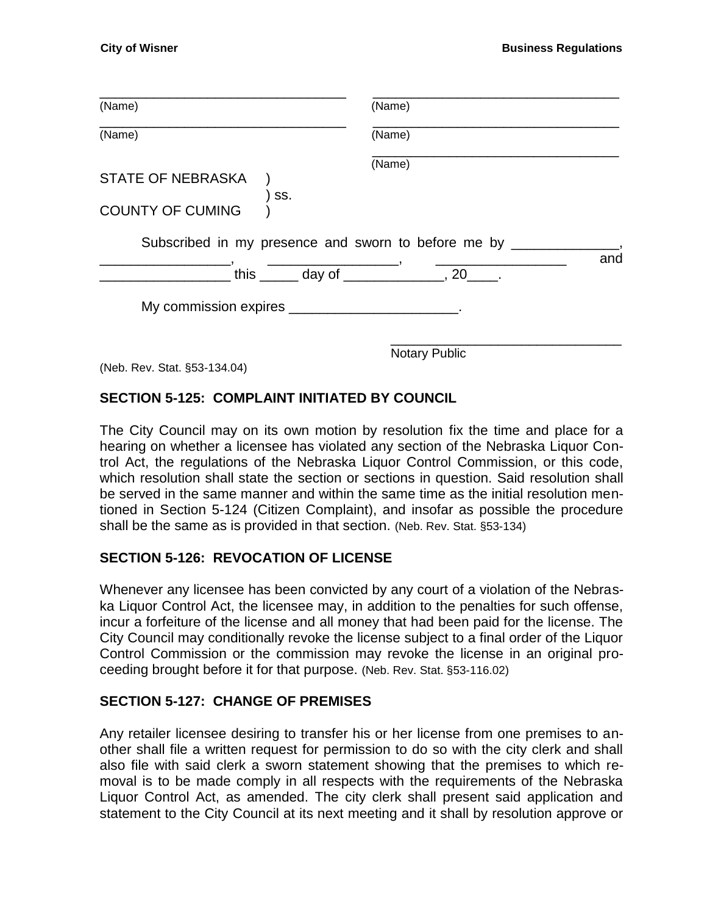| (Name)                                                     | (Name)                                                                                                                                                                                                                                                                                                                                                  |     |
|------------------------------------------------------------|---------------------------------------------------------------------------------------------------------------------------------------------------------------------------------------------------------------------------------------------------------------------------------------------------------------------------------------------------------|-----|
| (Name)                                                     | (Name)                                                                                                                                                                                                                                                                                                                                                  |     |
| <b>STATE OF NEBRASKA</b><br>SS.<br><b>COUNTY OF CUMING</b> | (Name)                                                                                                                                                                                                                                                                                                                                                  |     |
|                                                            |                                                                                                                                                                                                                                                                                                                                                         |     |
|                                                            | Subscribed in my presence and sworn to before me by __<br>this $\frac{1}{2}$ day of $\frac{1}{2}$ and $\frac{1}{2}$ and $\frac{1}{2}$ and $\frac{1}{2}$ and $\frac{1}{2}$ and $\frac{1}{2}$ and $\frac{1}{2}$ and $\frac{1}{2}$ and $\frac{1}{2}$ and $\frac{1}{2}$ and $\frac{1}{2}$ and $\frac{1}{2}$ and $\frac{1}{2}$ and $\frac{1}{2}$ and $\frac$ | and |
|                                                            |                                                                                                                                                                                                                                                                                                                                                         |     |

(Neb. Rev. Stat. §53-134.04)

#### <span id="page-14-0"></span>**SECTION 5-125: COMPLAINT INITIATED BY COUNCIL**

The City Council may on its own motion by resolution fix the time and place for a hearing on whether a licensee has violated any section of the Nebraska Liquor Control Act, the regulations of the Nebraska Liquor Control Commission, or this code, which resolution shall state the section or sections in question. Said resolution shall be served in the same manner and within the same time as the initial resolution mentioned in Section 5-124 (Citizen Complaint), and insofar as possible the procedure shall be the same as is provided in that section. (Neb. Rev. Stat. §53-134)

#### <span id="page-14-1"></span>**SECTION 5-126: REVOCATION OF LICENSE**

Whenever any licensee has been convicted by any court of a violation of the Nebraska Liquor Control Act, the licensee may, in addition to the penalties for such offense, incur a forfeiture of the license and all money that had been paid for the license. The City Council may conditionally revoke the license subject to a final order of the Liquor Control Commission or the commission may revoke the license in an original proceeding brought before it for that purpose. (Neb. Rev. Stat. §53-116.02)

#### <span id="page-14-2"></span>**SECTION 5-127: CHANGE OF PREMISES**

Any retailer licensee desiring to transfer his or her license from one premises to another shall file a written request for permission to do so with the city clerk and shall also file with said clerk a sworn statement showing that the premises to which removal is to be made comply in all respects with the requirements of the Nebraska Liquor Control Act, as amended. The city clerk shall present said application and statement to the City Council at its next meeting and it shall by resolution approve or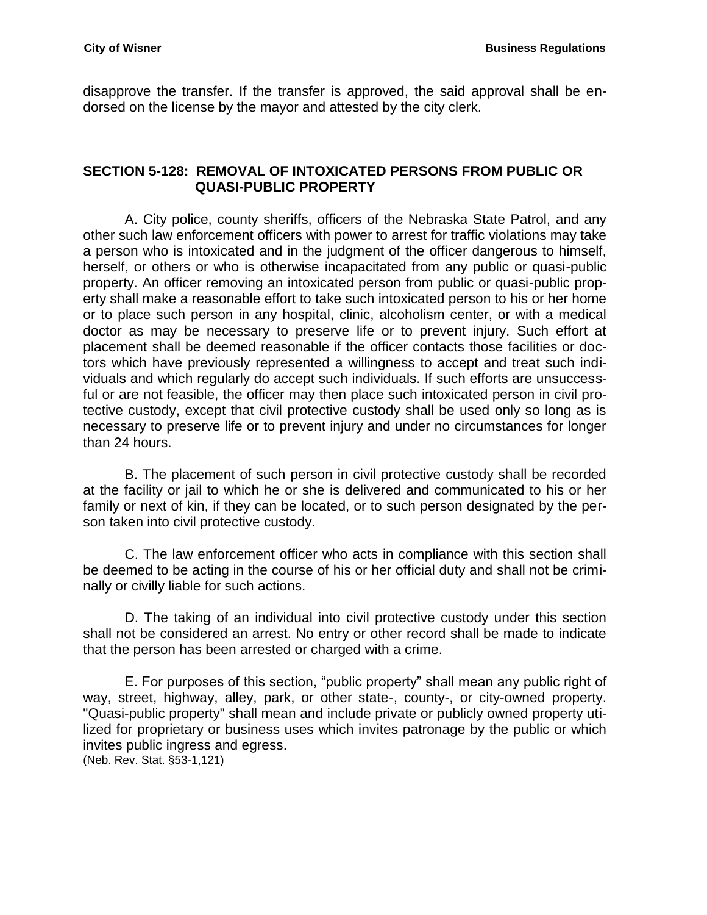disapprove the transfer. If the transfer is approved, the said approval shall be endorsed on the license by the mayor and attested by the city clerk.

#### <span id="page-15-0"></span>**SECTION 5-128: REMOVAL OF INTOXICATED PERSONS FROM PUBLIC OR QUASI-PUBLIC PROPERTY**

A. City police, county sheriffs, officers of the Nebraska State Patrol, and any other such law enforcement officers with power to arrest for traffic violations may take a person who is intoxicated and in the judgment of the officer dangerous to himself, herself, or others or who is otherwise incapacitated from any public or quasi-public property. An officer removing an intoxicated person from public or quasi-public property shall make a reasonable effort to take such intoxicated person to his or her home or to place such person in any hospital, clinic, alcoholism center, or with a medical doctor as may be necessary to preserve life or to prevent injury. Such effort at placement shall be deemed reasonable if the officer contacts those facilities or doctors which have previously represented a willingness to accept and treat such individuals and which regularly do accept such individuals. If such efforts are unsuccessful or are not feasible, the officer may then place such intoxicated person in civil protective custody, except that civil protective custody shall be used only so long as is necessary to preserve life or to prevent injury and under no circumstances for longer than 24 hours.

B. The placement of such person in civil protective custody shall be recorded at the facility or jail to which he or she is delivered and communicated to his or her family or next of kin, if they can be located, or to such person designated by the person taken into civil protective custody.

C. The law enforcement officer who acts in compliance with this section shall be deemed to be acting in the course of his or her official duty and shall not be criminally or civilly liable for such actions.

D. The taking of an individual into civil protective custody under this section shall not be considered an arrest. No entry or other record shall be made to indicate that the person has been arrested or charged with a crime.

E. For purposes of this section, "public property" shall mean any public right of way, street, highway, alley, park, or other state-, county-, or city-owned property. "Quasi-public property" shall mean and include private or publicly owned property utilized for proprietary or business uses which invites patronage by the public or which invites public ingress and egress. (Neb. Rev. Stat. §53-1,121)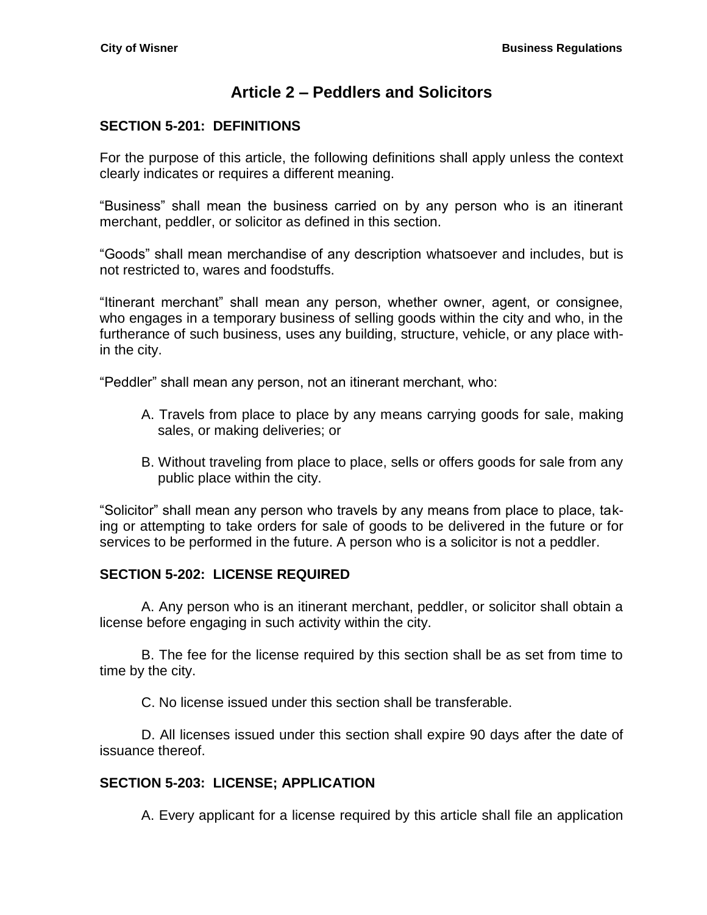# **Article 2 – Peddlers and Solicitors**

## <span id="page-16-1"></span><span id="page-16-0"></span>**SECTION 5-201: DEFINITIONS**

For the purpose of this article, the following definitions shall apply unless the context clearly indicates or requires a different meaning.

"Business" shall mean the business carried on by any person who is an itinerant merchant, peddler, or solicitor as defined in this section.

"Goods" shall mean merchandise of any description whatsoever and includes, but is not restricted to, wares and foodstuffs.

"Itinerant merchant" shall mean any person, whether owner, agent, or consignee, who engages in a temporary business of selling goods within the city and who, in the furtherance of such business, uses any building, structure, vehicle, or any place within the city.

"Peddler" shall mean any person, not an itinerant merchant, who:

- A. Travels from place to place by any means carrying goods for sale, making sales, or making deliveries; or
- B. Without traveling from place to place, sells or offers goods for sale from any public place within the city.

"Solicitor" shall mean any person who travels by any means from place to place, taking or attempting to take orders for sale of goods to be delivered in the future or for services to be performed in the future. A person who is a solicitor is not a peddler.

#### <span id="page-16-2"></span>**SECTION 5-202: LICENSE REQUIRED**

A. Any person who is an itinerant merchant, peddler, or solicitor shall obtain a license before engaging in such activity within the city.

B. The fee for the license required by this section shall be as set from time to time by the city.

C. No license issued under this section shall be transferable.

D. All licenses issued under this section shall expire 90 days after the date of issuance thereof.

#### <span id="page-16-3"></span>**SECTION 5-203: LICENSE; APPLICATION**

A. Every applicant for a license required by this article shall file an application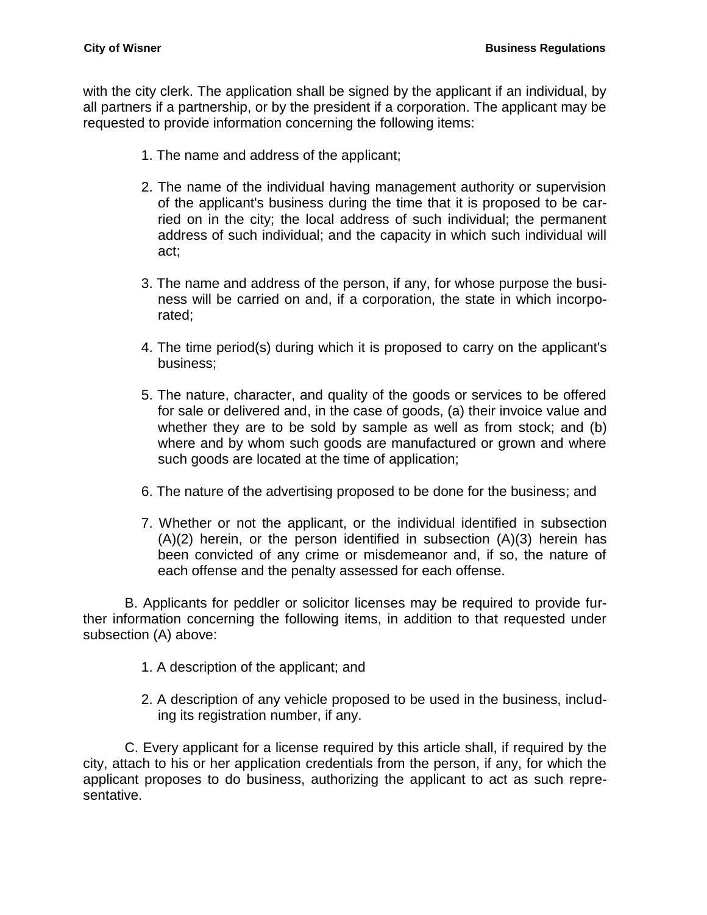with the city clerk. The application shall be signed by the applicant if an individual, by all partners if a partnership, or by the president if a corporation. The applicant may be requested to provide information concerning the following items:

- 1. The name and address of the applicant;
- 2. The name of the individual having management authority or supervision of the applicant's business during the time that it is proposed to be carried on in the city; the local address of such individual; the permanent address of such individual; and the capacity in which such individual will act;
- 3. The name and address of the person, if any, for whose purpose the business will be carried on and, if a corporation, the state in which incorporated;
- 4. The time period(s) during which it is proposed to carry on the applicant's business;
- 5. The nature, character, and quality of the goods or services to be offered for sale or delivered and, in the case of goods, (a) their invoice value and whether they are to be sold by sample as well as from stock; and (b) where and by whom such goods are manufactured or grown and where such goods are located at the time of application;
- 6. The nature of the advertising proposed to be done for the business; and
- 7. Whether or not the applicant, or the individual identified in subsection  $(A)(2)$  herein, or the person identified in subsection  $(A)(3)$  herein has been convicted of any crime or misdemeanor and, if so, the nature of each offense and the penalty assessed for each offense.

B. Applicants for peddler or solicitor licenses may be required to provide further information concerning the following items, in addition to that requested under subsection (A) above:

- 1. A description of the applicant; and
- 2. A description of any vehicle proposed to be used in the business, including its registration number, if any.

C. Every applicant for a license required by this article shall, if required by the city, attach to his or her application credentials from the person, if any, for which the applicant proposes to do business, authorizing the applicant to act as such representative.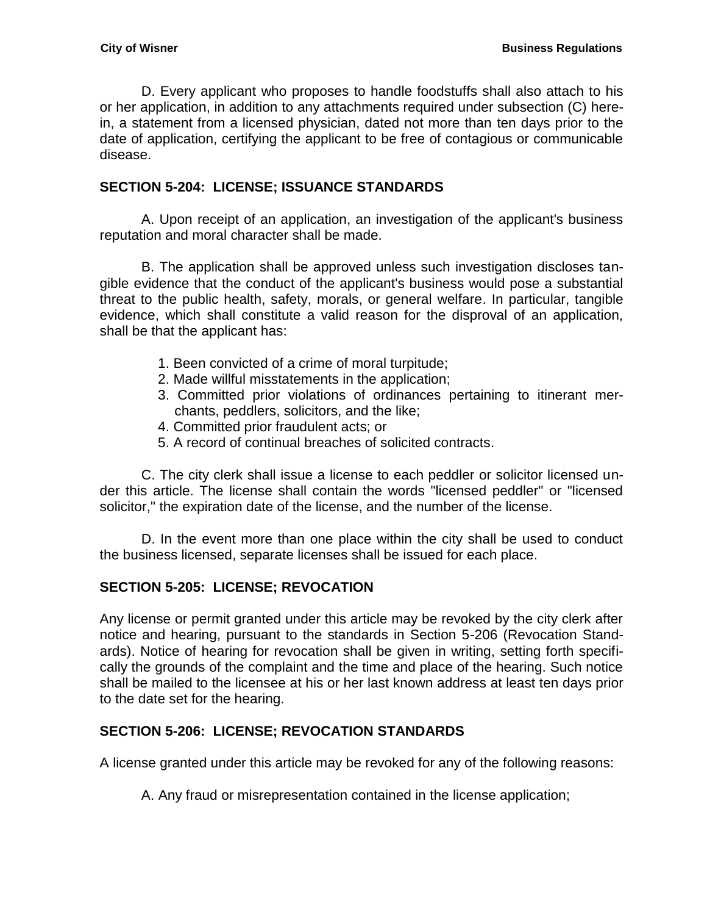D. Every applicant who proposes to handle foodstuffs shall also attach to his or her application, in addition to any attachments required under subsection (C) herein, a statement from a licensed physician, dated not more than ten days prior to the date of application, certifying the applicant to be free of contagious or communicable disease.

## <span id="page-18-0"></span>**SECTION 5-204: LICENSE; ISSUANCE STANDARDS**

A. Upon receipt of an application, an investigation of the applicant's business reputation and moral character shall be made.

B. The application shall be approved unless such investigation discloses tangible evidence that the conduct of the applicant's business would pose a substantial threat to the public health, safety, morals, or general welfare. In particular, tangible evidence, which shall constitute a valid reason for the disproval of an application, shall be that the applicant has:

- 1. Been convicted of a crime of moral turpitude;
- 2. Made willful misstatements in the application;
- 3. Committed prior violations of ordinances pertaining to itinerant merchants, peddlers, solicitors, and the like;
- 4. Committed prior fraudulent acts; or
- 5. A record of continual breaches of solicited contracts.

C. The city clerk shall issue a license to each peddler or solicitor licensed under this article. The license shall contain the words "licensed peddler" or "licensed solicitor," the expiration date of the license, and the number of the license.

D. In the event more than one place within the city shall be used to conduct the business licensed, separate licenses shall be issued for each place.

## <span id="page-18-1"></span>**SECTION 5-205: LICENSE; REVOCATION**

Any license or permit granted under this article may be revoked by the city clerk after notice and hearing, pursuant to the standards in Section 5-206 (Revocation Standards). Notice of hearing for revocation shall be given in writing, setting forth specifically the grounds of the complaint and the time and place of the hearing. Such notice shall be mailed to the licensee at his or her last known address at least ten days prior to the date set for the hearing.

## <span id="page-18-2"></span>**SECTION 5-206: LICENSE; REVOCATION STANDARDS**

A license granted under this article may be revoked for any of the following reasons:

A. Any fraud or misrepresentation contained in the license application;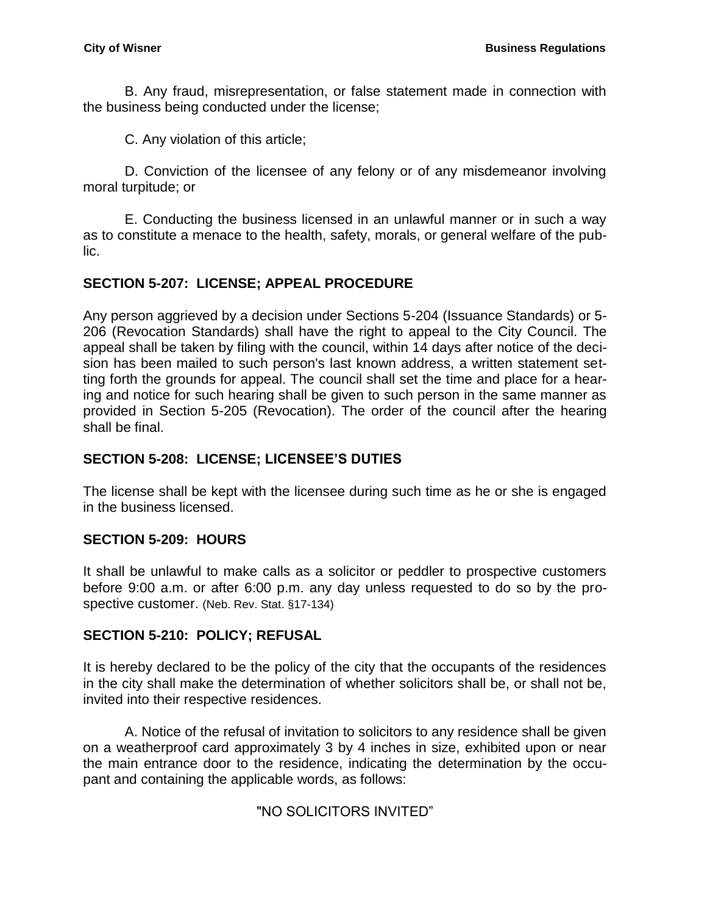B. Any fraud, misrepresentation, or false statement made in connection with the business being conducted under the license;

C. Any violation of this article;

D. Conviction of the licensee of any felony or of any misdemeanor involving moral turpitude; or

E. Conducting the business licensed in an unlawful manner or in such a way as to constitute a menace to the health, safety, morals, or general welfare of the public.

## <span id="page-19-0"></span>**SECTION 5-207: LICENSE; APPEAL PROCEDURE**

Any person aggrieved by a decision under Sections 5-204 (Issuance Standards) or 5- 206 (Revocation Standards) shall have the right to appeal to the City Council. The appeal shall be taken by filing with the council, within 14 days after notice of the decision has been mailed to such person's last known address, a written statement setting forth the grounds for appeal. The council shall set the time and place for a hearing and notice for such hearing shall be given to such person in the same manner as provided in Section 5-205 (Revocation). The order of the council after the hearing shall be final.

## <span id="page-19-1"></span>**SECTION 5-208: LICENSE; LICENSEE'S DUTIES**

The license shall be kept with the licensee during such time as he or she is engaged in the business licensed.

## <span id="page-19-2"></span>**SECTION 5-209: HOURS**

It shall be unlawful to make calls as a solicitor or peddler to prospective customers before 9:00 a.m. or after 6:00 p.m. any day unless requested to do so by the prospective customer. (Neb. Rev. Stat. §17-134)

## <span id="page-19-3"></span>**SECTION 5-210: POLICY; REFUSAL**

It is hereby declared to be the policy of the city that the occupants of the residences in the city shall make the determination of whether solicitors shall be, or shall not be, invited into their respective residences.

A. Notice of the refusal of invitation to solicitors to any residence shall be given on a weatherproof card approximately 3 by 4 inches in size, exhibited upon or near the main entrance door to the residence, indicating the determination by the occupant and containing the applicable words, as follows:

#### "NO SOLICITORS INVITED"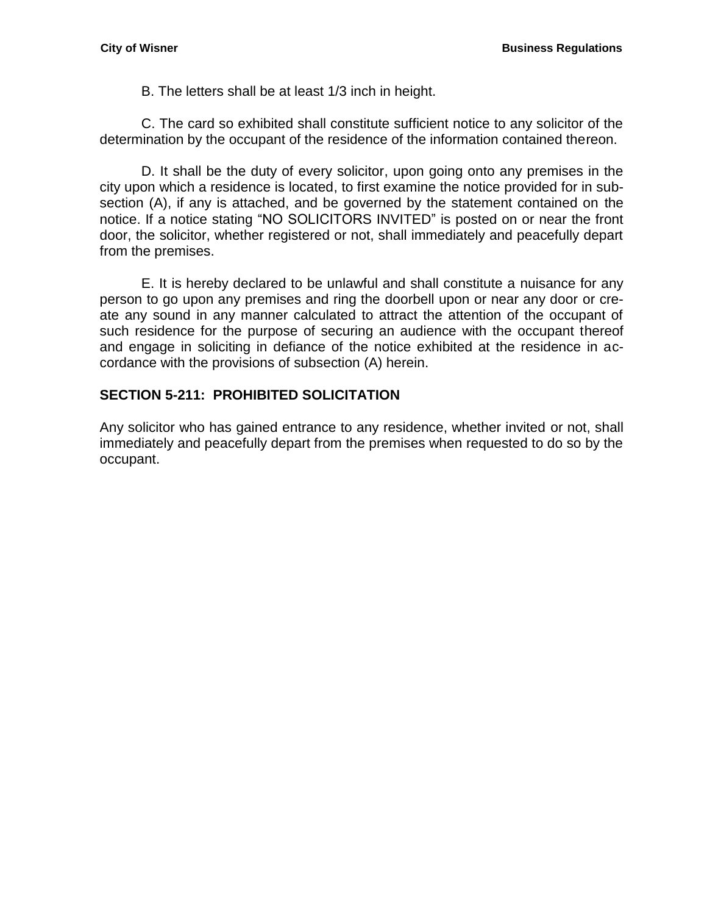B. The letters shall be at least 1/3 inch in height.

C. The card so exhibited shall constitute sufficient notice to any solicitor of the determination by the occupant of the residence of the information contained thereon.

D. It shall be the duty of every solicitor, upon going onto any premises in the city upon which a residence is located, to first examine the notice provided for in subsection (A), if any is attached, and be governed by the statement contained on the notice. If a notice stating "NO SOLICITORS INVITED" is posted on or near the front door, the solicitor, whether registered or not, shall immediately and peacefully depart from the premises.

E. It is hereby declared to be unlawful and shall constitute a nuisance for any person to go upon any premises and ring the doorbell upon or near any door or create any sound in any manner calculated to attract the attention of the occupant of such residence for the purpose of securing an audience with the occupant thereof and engage in soliciting in defiance of the notice exhibited at the residence in accordance with the provisions of subsection (A) herein.

## <span id="page-20-0"></span>**SECTION 5-211: PROHIBITED SOLICITATION**

Any solicitor who has gained entrance to any residence, whether invited or not, shall immediately and peacefully depart from the premises when requested to do so by the occupant.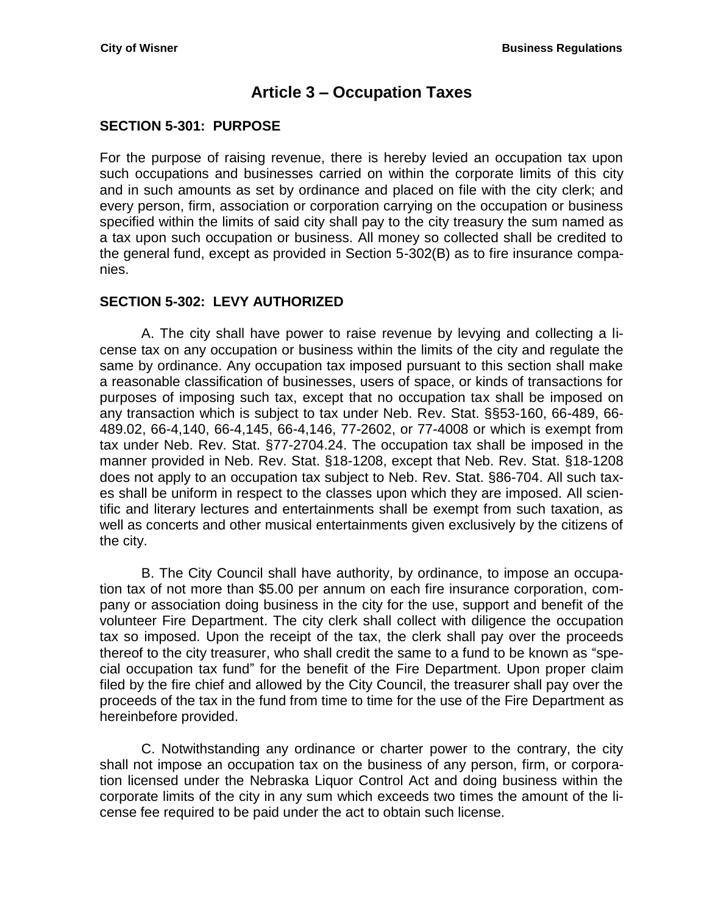# **Article 3 – Occupation Taxes**

## <span id="page-22-1"></span><span id="page-22-0"></span>**SECTION 5-301: PURPOSE**

For the purpose of raising revenue, there is hereby levied an occupation tax upon such occupations and businesses carried on within the corporate limits of this city and in such amounts as set by ordinance and placed on file with the city clerk; and every person, firm, association or corporation carrying on the occupation or business specified within the limits of said city shall pay to the city treasury the sum named as a tax upon such occupation or business. All money so collected shall be credited to the general fund, except as provided in Section 5-302(B) as to fire insurance companies.

## <span id="page-22-2"></span>**SECTION 5-302: LEVY AUTHORIZED**

A. The city shall have power to raise revenue by levying and collecting a license tax on any occupation or business within the limits of the city and regulate the same by ordinance. Any occupation tax imposed pursuant to this section shall make a reasonable classification of businesses, users of space, or kinds of transactions for purposes of imposing such tax, except that no occupation tax shall be imposed on any transaction which is subject to tax under Neb. Rev. Stat. §§53-160, 66-489, 66- 489.02, 66-4,140, 66-4,145, 66-4,146, 77-2602, or 77-4008 or which is exempt from tax under Neb. Rev. Stat. §77-2704.24. The occupation tax shall be imposed in the manner provided in Neb. Rev. Stat. §18-1208, except that Neb. Rev. Stat. §18-1208 does not apply to an occupation tax subject to Neb. Rev. Stat. §86-704. All such taxes shall be uniform in respect to the classes upon which they are imposed. All scientific and literary lectures and entertainments shall be exempt from such taxation, as well as concerts and other musical entertainments given exclusively by the citizens of the city.

B. The City Council shall have authority, by ordinance, to impose an occupation tax of not more than \$5.00 per annum on each fire insurance corporation, company or association doing business in the city for the use, support and benefit of the volunteer Fire Department. The city clerk shall collect with diligence the occupation tax so imposed. Upon the receipt of the tax, the clerk shall pay over the proceeds thereof to the city treasurer, who shall credit the same to a fund to be known as "special occupation tax fund" for the benefit of the Fire Department. Upon proper claim filed by the fire chief and allowed by the City Council, the treasurer shall pay over the proceeds of the tax in the fund from time to time for the use of the Fire Department as hereinbefore provided.

C. Notwithstanding any ordinance or charter power to the contrary, the city shall not impose an occupation tax on the business of any person, firm, or corporation licensed under the Nebraska Liquor Control Act and doing business within the corporate limits of the city in any sum which exceeds two times the amount of the license fee required to be paid under the act to obtain such license.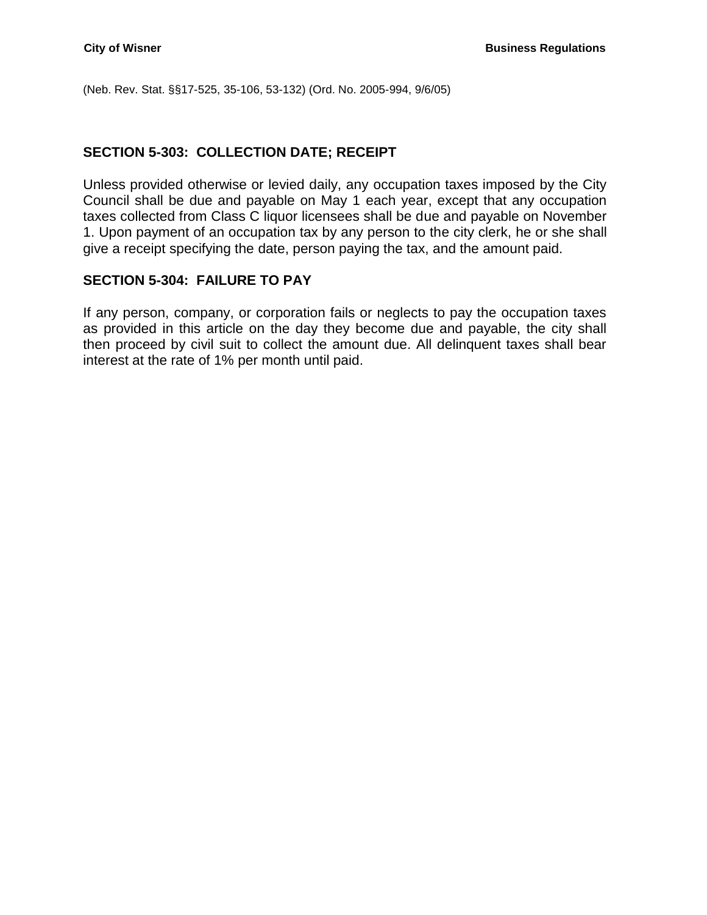(Neb. Rev. Stat. §§17-525, 35-106, 53-132) (Ord. No. 2005-994, 9/6/05)

#### <span id="page-23-0"></span>**SECTION 5-303: COLLECTION DATE; RECEIPT**

Unless provided otherwise or levied daily, any occupation taxes imposed by the City Council shall be due and payable on May 1 each year, except that any occupation taxes collected from Class C liquor licensees shall be due and payable on November 1. Upon payment of an occupation tax by any person to the city clerk, he or she shall give a receipt specifying the date, person paying the tax, and the amount paid.

#### <span id="page-23-1"></span>**SECTION 5-304: FAILURE TO PAY**

If any person, company, or corporation fails or neglects to pay the occupation taxes as provided in this article on the day they become due and payable, the city shall then proceed by civil suit to collect the amount due. All delinquent taxes shall bear interest at the rate of 1% per month until paid.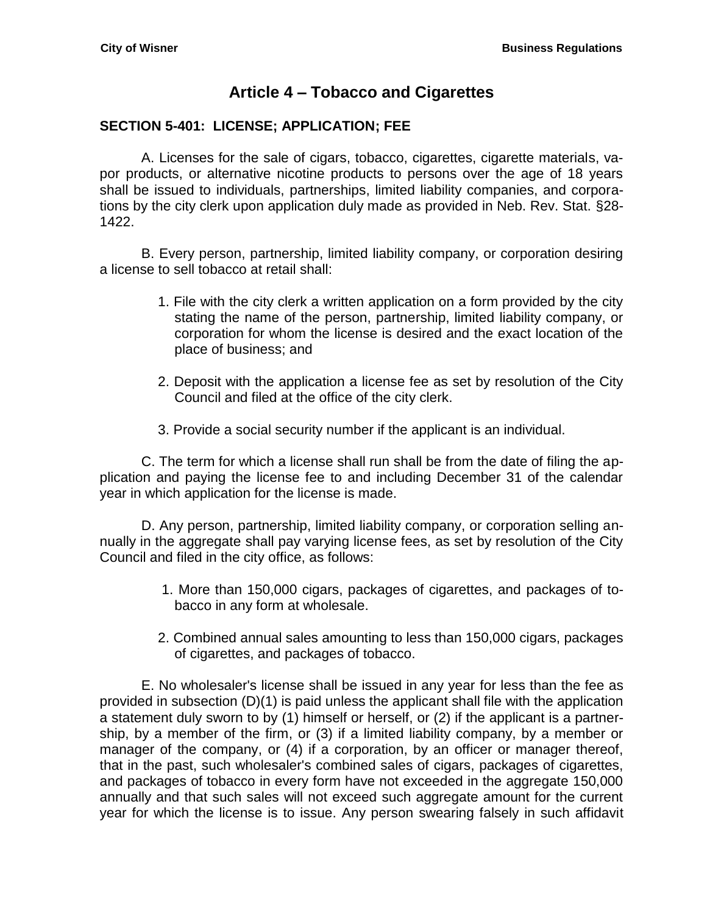# **Article 4 – Tobacco and Cigarettes**

#### <span id="page-24-1"></span><span id="page-24-0"></span>**SECTION 5-401: LICENSE; APPLICATION; FEE**

A. Licenses for the sale of cigars, tobacco, cigarettes, cigarette materials, vapor products, or alternative nicotine products to persons over the age of 18 years shall be issued to individuals, partnerships, limited liability companies, and corporations by the city clerk upon application duly made as provided in Neb. Rev. Stat. §28- 1422.

B. Every person, partnership, limited liability company, or corporation desiring a license to sell tobacco at retail shall:

- 1. File with the city clerk a written application on a form provided by the city stating the name of the person, partnership, limited liability company, or corporation for whom the license is desired and the exact location of the place of business; and
- 2. Deposit with the application a license fee as set by resolution of the City Council and filed at the office of the city clerk.
- 3. Provide a social security number if the applicant is an individual.

C. The term for which a license shall run shall be from the date of filing the application and paying the license fee to and including December 31 of the calendar year in which application for the license is made.

D. Any person, partnership, limited liability company, or corporation selling annually in the aggregate shall pay varying license fees, as set by resolution of the City Council and filed in the city office, as follows:

- 1. More than 150,000 cigars, packages of cigarettes, and packages of tobacco in any form at wholesale.
- 2. Combined annual sales amounting to less than 150,000 cigars, packages of cigarettes, and packages of tobacco.

E. No wholesaler's license shall be issued in any year for less than the fee as provided in subsection (D)(1) is paid unless the applicant shall file with the application a statement duly sworn to by (1) himself or herself, or (2) if the applicant is a partnership, by a member of the firm, or (3) if a limited liability company, by a member or manager of the company, or (4) if a corporation, by an officer or manager thereof, that in the past, such wholesaler's combined sales of cigars, packages of cigarettes, and packages of tobacco in every form have not exceeded in the aggregate 150,000 annually and that such sales will not exceed such aggregate amount for the current year for which the license is to issue. Any person swearing falsely in such affidavit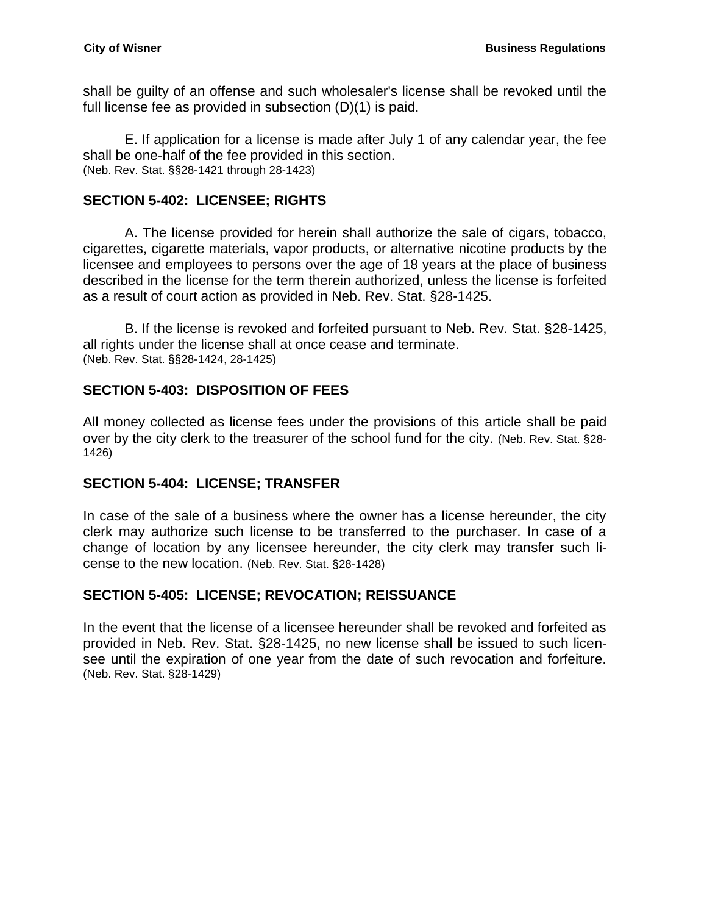shall be guilty of an offense and such wholesaler's license shall be revoked until the full license fee as provided in subsection (D)(1) is paid.

E. If application for a license is made after July 1 of any calendar year, the fee shall be one-half of the fee provided in this section. (Neb. Rev. Stat. §§28-1421 through 28-1423)

## <span id="page-25-0"></span>**SECTION 5-402: LICENSEE; RIGHTS**

A. The license provided for herein shall authorize the sale of cigars, tobacco, cigarettes, cigarette materials, vapor products, or alternative nicotine products by the licensee and employees to persons over the age of 18 years at the place of business described in the license for the term therein authorized, unless the license is forfeited as a result of court action as provided in Neb. Rev. Stat. §28-1425.

B. If the license is revoked and forfeited pursuant to Neb. Rev. Stat. §28-1425, all rights under the license shall at once cease and terminate. (Neb. Rev. Stat. §§28-1424, 28-1425)

## <span id="page-25-1"></span>**SECTION 5-403: DISPOSITION OF FEES**

All money collected as license fees under the provisions of this article shall be paid over by the city clerk to the treasurer of the school fund for the city. (Neb. Rev. Stat. §28- 1426)

## <span id="page-25-2"></span>**SECTION 5-404: LICENSE; TRANSFER**

In case of the sale of a business where the owner has a license hereunder, the city clerk may authorize such license to be transferred to the purchaser. In case of a change of location by any licensee hereunder, the city clerk may transfer such license to the new location. (Neb. Rev. Stat. §28-1428)

## <span id="page-25-3"></span>**SECTION 5-405: LICENSE; REVOCATION; REISSUANCE**

In the event that the license of a licensee hereunder shall be revoked and forfeited as provided in Neb. Rev. Stat. §28-1425, no new license shall be issued to such licensee until the expiration of one year from the date of such revocation and forfeiture. (Neb. Rev. Stat. §28-1429)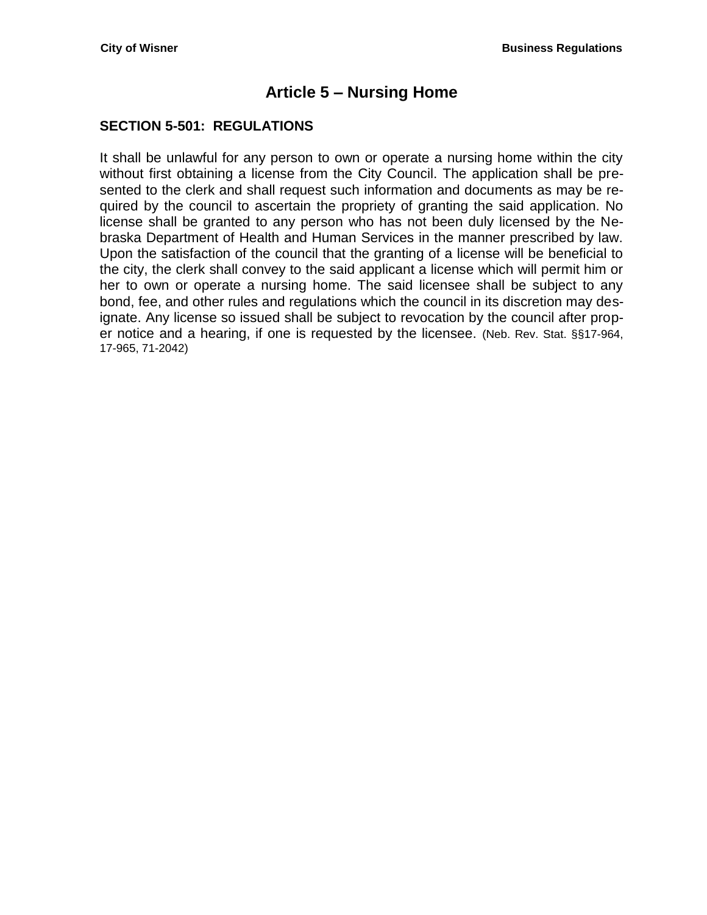# **Article 5 – Nursing Home**

## <span id="page-26-1"></span><span id="page-26-0"></span>**SECTION 5-501: REGULATIONS**

It shall be unlawful for any person to own or operate a nursing home within the city without first obtaining a license from the City Council. The application shall be presented to the clerk and shall request such information and documents as may be required by the council to ascertain the propriety of granting the said application. No license shall be granted to any person who has not been duly licensed by the Nebraska Department of Health and Human Services in the manner prescribed by law. Upon the satisfaction of the council that the granting of a license will be beneficial to the city, the clerk shall convey to the said applicant a license which will permit him or her to own or operate a nursing home. The said licensee shall be subject to any bond, fee, and other rules and regulations which the council in its discretion may designate. Any license so issued shall be subject to revocation by the council after proper notice and a hearing, if one is requested by the licensee. (Neb. Rev. Stat. §§17-964, 17-965, 71-2042)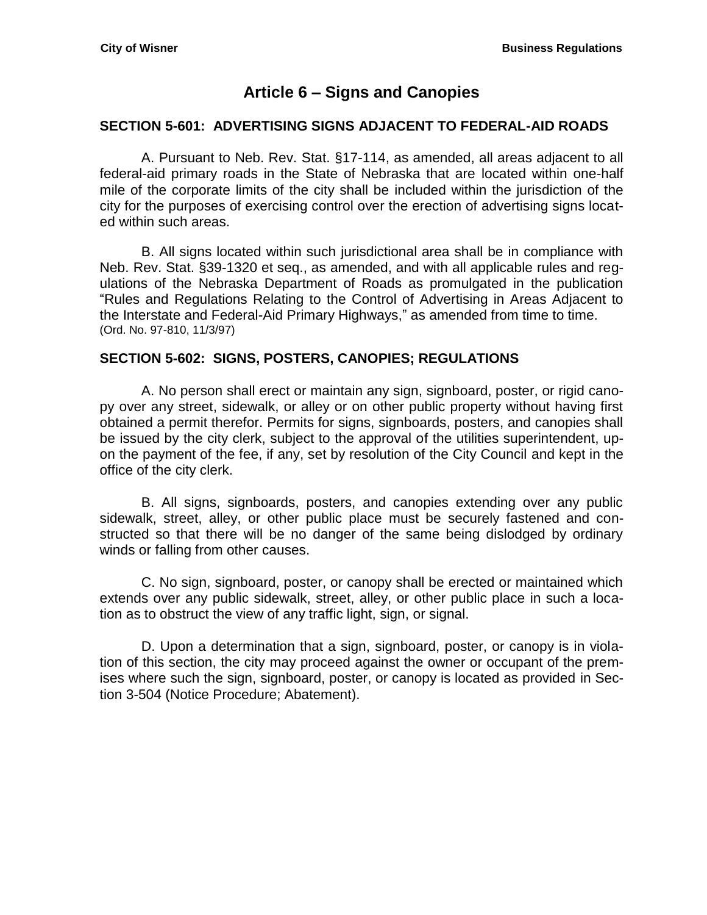# **Article 6 – Signs and Canopies**

#### <span id="page-28-1"></span><span id="page-28-0"></span>**SECTION 5-601: ADVERTISING SIGNS ADJACENT TO FEDERAL-AID ROADS**

A. Pursuant to Neb. Rev. Stat. §17-114, as amended, all areas adjacent to all federal-aid primary roads in the State of Nebraska that are located within one-half mile of the corporate limits of the city shall be included within the jurisdiction of the city for the purposes of exercising control over the erection of advertising signs located within such areas.

B. All signs located within such jurisdictional area shall be in compliance with Neb. Rev. Stat. §39-1320 et seq., as amended, and with all applicable rules and regulations of the Nebraska Department of Roads as promulgated in the publication "Rules and Regulations Relating to the Control of Advertising in Areas Adjacent to the Interstate and Federal-Aid Primary Highways," as amended from time to time. (Ord. No. 97-810, 11/3/97)

#### <span id="page-28-2"></span>**SECTION 5-602: SIGNS, POSTERS, CANOPIES; REGULATIONS**

A. No person shall erect or maintain any sign, signboard, poster, or rigid canopy over any street, sidewalk, or alley or on other public property without having first obtained a permit therefor. Permits for signs, signboards, posters, and canopies shall be issued by the city clerk, subject to the approval of the utilities superintendent, upon the payment of the fee, if any, set by resolution of the City Council and kept in the office of the city clerk.

B. All signs, signboards, posters, and canopies extending over any public sidewalk, street, alley, or other public place must be securely fastened and constructed so that there will be no danger of the same being dislodged by ordinary winds or falling from other causes.

C. No sign, signboard, poster, or canopy shall be erected or maintained which extends over any public sidewalk, street, alley, or other public place in such a location as to obstruct the view of any traffic light, sign, or signal.

D. Upon a determination that a sign, signboard, poster, or canopy is in violation of this section, the city may proceed against the owner or occupant of the premises where such the sign, signboard, poster, or canopy is located as provided in Section 3-504 (Notice Procedure; Abatement).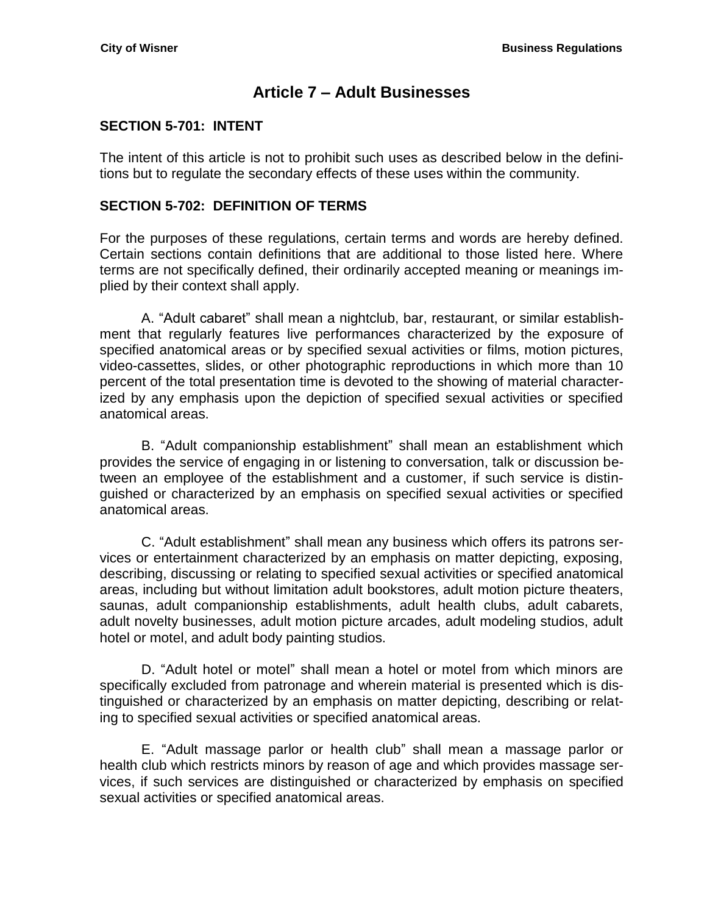## **Article 7 – Adult Businesses**

## <span id="page-30-1"></span><span id="page-30-0"></span>**SECTION 5-701: INTENT**

The intent of this article is not to prohibit such uses as described below in the definitions but to regulate the secondary effects of these uses within the community.

#### <span id="page-30-2"></span>**SECTION 5-702: DEFINITION OF TERMS**

For the purposes of these regulations, certain terms and words are hereby defined. Certain sections contain definitions that are additional to those listed here. Where terms are not specifically defined, their ordinarily accepted meaning or meanings implied by their context shall apply.

A. "Adult cabaret" shall mean a nightclub, bar, restaurant, or similar establishment that regularly features live performances characterized by the exposure of specified anatomical areas or by specified sexual activities or films, motion pictures, video-cassettes, slides, or other photographic reproductions in which more than 10 percent of the total presentation time is devoted to the showing of material characterized by any emphasis upon the depiction of specified sexual activities or specified anatomical areas.

B. "Adult companionship establishment" shall mean an establishment which provides the service of engaging in or listening to conversation, talk or discussion between an employee of the establishment and a customer, if such service is distinguished or characterized by an emphasis on specified sexual activities or specified anatomical areas.

C. "Adult establishment" shall mean any business which offers its patrons services or entertainment characterized by an emphasis on matter depicting, exposing, describing, discussing or relating to specified sexual activities or specified anatomical areas, including but without limitation adult bookstores, adult motion picture theaters, saunas, adult companionship establishments, adult health clubs, adult cabarets, adult novelty businesses, adult motion picture arcades, adult modeling studios, adult hotel or motel, and adult body painting studios.

D. "Adult hotel or motel" shall mean a hotel or motel from which minors are specifically excluded from patronage and wherein material is presented which is distinguished or characterized by an emphasis on matter depicting, describing or relating to specified sexual activities or specified anatomical areas.

E. "Adult massage parlor or health club" shall mean a massage parlor or health club which restricts minors by reason of age and which provides massage services, if such services are distinguished or characterized by emphasis on specified sexual activities or specified anatomical areas.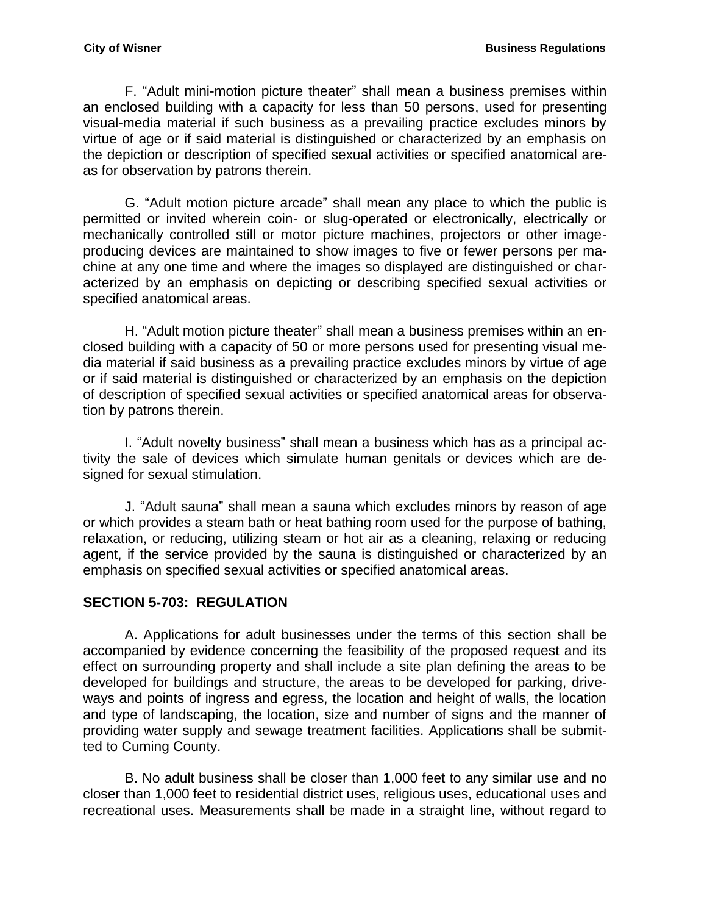F. "Adult mini-motion picture theater" shall mean a business premises within an enclosed building with a capacity for less than 50 persons, used for presenting visual-media material if such business as a prevailing practice excludes minors by virtue of age or if said material is distinguished or characterized by an emphasis on the depiction or description of specified sexual activities or specified anatomical areas for observation by patrons therein.

G. "Adult motion picture arcade" shall mean any place to which the public is permitted or invited wherein coin- or slug-operated or electronically, electrically or mechanically controlled still or motor picture machines, projectors or other imageproducing devices are maintained to show images to five or fewer persons per machine at any one time and where the images so displayed are distinguished or characterized by an emphasis on depicting or describing specified sexual activities or specified anatomical areas.

H. "Adult motion picture theater" shall mean a business premises within an enclosed building with a capacity of 50 or more persons used for presenting visual media material if said business as a prevailing practice excludes minors by virtue of age or if said material is distinguished or characterized by an emphasis on the depiction of description of specified sexual activities or specified anatomical areas for observation by patrons therein.

I. "Adult novelty business" shall mean a business which has as a principal activity the sale of devices which simulate human genitals or devices which are designed for sexual stimulation.

J. "Adult sauna" shall mean a sauna which excludes minors by reason of age or which provides a steam bath or heat bathing room used for the purpose of bathing, relaxation, or reducing, utilizing steam or hot air as a cleaning, relaxing or reducing agent, if the service provided by the sauna is distinguished or characterized by an emphasis on specified sexual activities or specified anatomical areas.

#### <span id="page-31-0"></span>**SECTION 5-703: REGULATION**

A. Applications for adult businesses under the terms of this section shall be accompanied by evidence concerning the feasibility of the proposed request and its effect on surrounding property and shall include a site plan defining the areas to be developed for buildings and structure, the areas to be developed for parking, driveways and points of ingress and egress, the location and height of walls, the location and type of landscaping, the location, size and number of signs and the manner of providing water supply and sewage treatment facilities. Applications shall be submitted to Cuming County.

B. No adult business shall be closer than 1,000 feet to any similar use and no closer than 1,000 feet to residential district uses, religious uses, educational uses and recreational uses. Measurements shall be made in a straight line, without regard to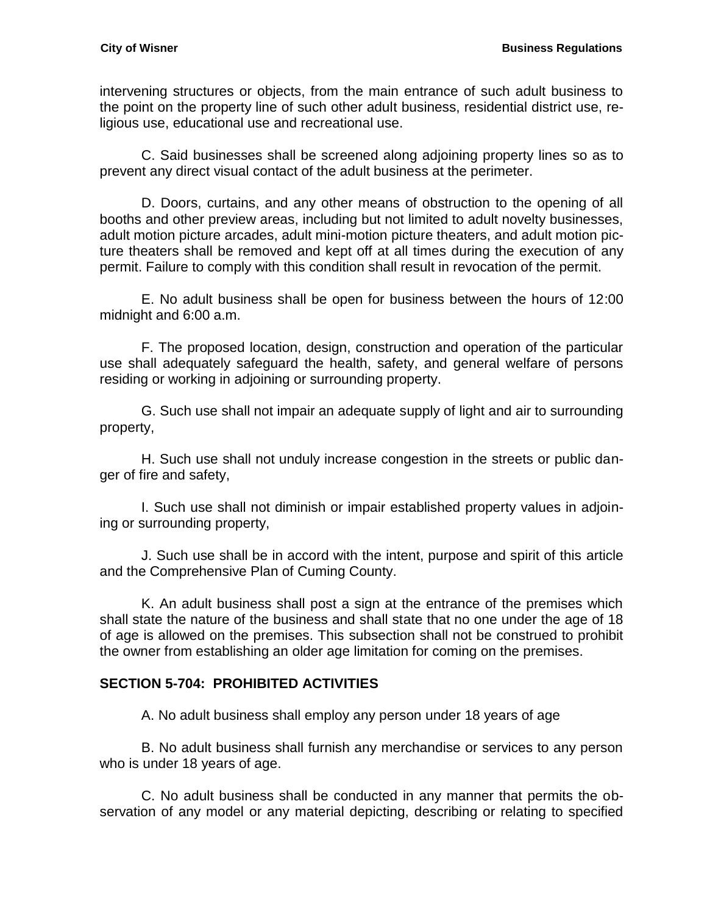intervening structures or objects, from the main entrance of such adult business to the point on the property line of such other adult business, residential district use, religious use, educational use and recreational use.

C. Said businesses shall be screened along adjoining property lines so as to prevent any direct visual contact of the adult business at the perimeter.

D. Doors, curtains, and any other means of obstruction to the opening of all booths and other preview areas, including but not limited to adult novelty businesses, adult motion picture arcades, adult mini-motion picture theaters, and adult motion picture theaters shall be removed and kept off at all times during the execution of any permit. Failure to comply with this condition shall result in revocation of the permit.

E. No adult business shall be open for business between the hours of 12:00 midnight and 6:00 a.m.

F. The proposed location, design, construction and operation of the particular use shall adequately safeguard the health, safety, and general welfare of persons residing or working in adjoining or surrounding property.

G. Such use shall not impair an adequate supply of light and air to surrounding property,

H. Such use shall not unduly increase congestion in the streets or public danger of fire and safety,

I. Such use shall not diminish or impair established property values in adjoining or surrounding property,

J. Such use shall be in accord with the intent, purpose and spirit of this article and the Comprehensive Plan of Cuming County.

K. An adult business shall post a sign at the entrance of the premises which shall state the nature of the business and shall state that no one under the age of 18 of age is allowed on the premises. This subsection shall not be construed to prohibit the owner from establishing an older age limitation for coming on the premises.

## <span id="page-32-0"></span>**SECTION 5-704: PROHIBITED ACTIVITIES**

A. No adult business shall employ any person under 18 years of age

B. No adult business shall furnish any merchandise or services to any person who is under 18 years of age.

C. No adult business shall be conducted in any manner that permits the observation of any model or any material depicting, describing or relating to specified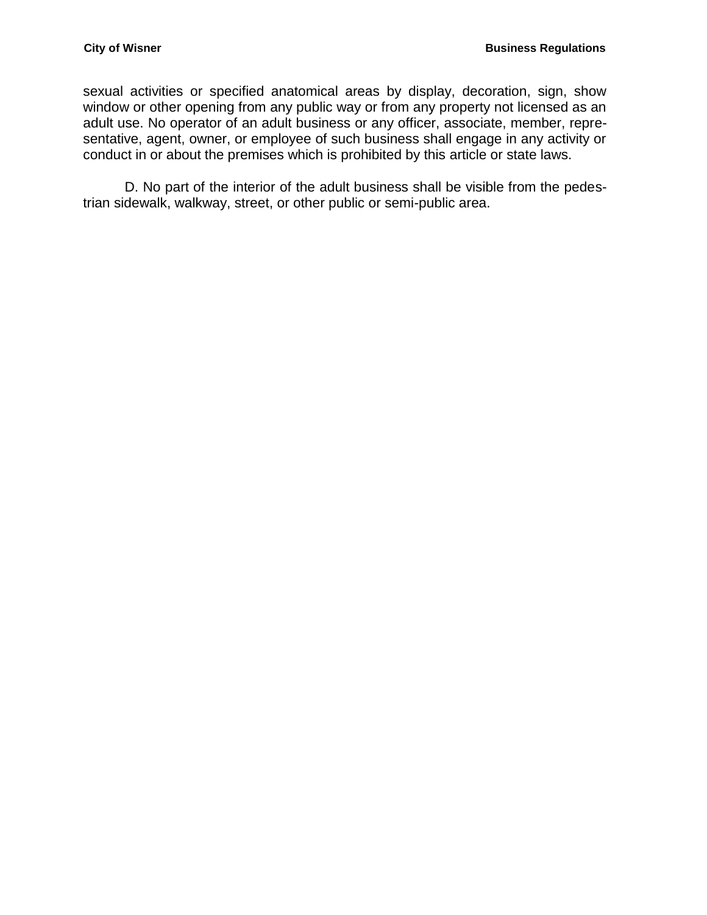sexual activities or specified anatomical areas by display, decoration, sign, show window or other opening from any public way or from any property not licensed as an adult use. No operator of an adult business or any officer, associate, member, representative, agent, owner, or employee of such business shall engage in any activity or conduct in or about the premises which is prohibited by this article or state laws.

D. No part of the interior of the adult business shall be visible from the pedestrian sidewalk, walkway, street, or other public or semi-public area.